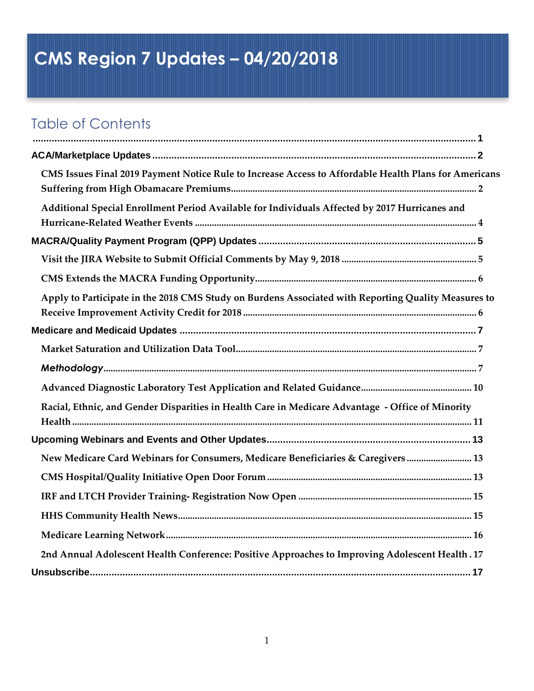# <span id="page-0-0"></span>**CMS Region 7 Updates – 04/20/2018**

## Table of Contents

| CMS Issues Final 2019 Payment Notice Rule to Increase Access to Affordable Health Plans for Americans |
|-------------------------------------------------------------------------------------------------------|
| Additional Special Enrollment Period Available for Individuals Affected by 2017 Hurricanes and        |
|                                                                                                       |
|                                                                                                       |
|                                                                                                       |
| Apply to Participate in the 2018 CMS Study on Burdens Associated with Reporting Quality Measures to   |
|                                                                                                       |
|                                                                                                       |
|                                                                                                       |
|                                                                                                       |
| Racial, Ethnic, and Gender Disparities in Health Care in Medicare Advantage - Office of Minority      |
|                                                                                                       |
| New Medicare Card Webinars for Consumers, Medicare Beneficiaries & Caregivers  13                     |
|                                                                                                       |
|                                                                                                       |
|                                                                                                       |
|                                                                                                       |
| 2nd Annual Adolescent Health Conference: Positive Approaches to Improving Adolescent Health. 17       |
|                                                                                                       |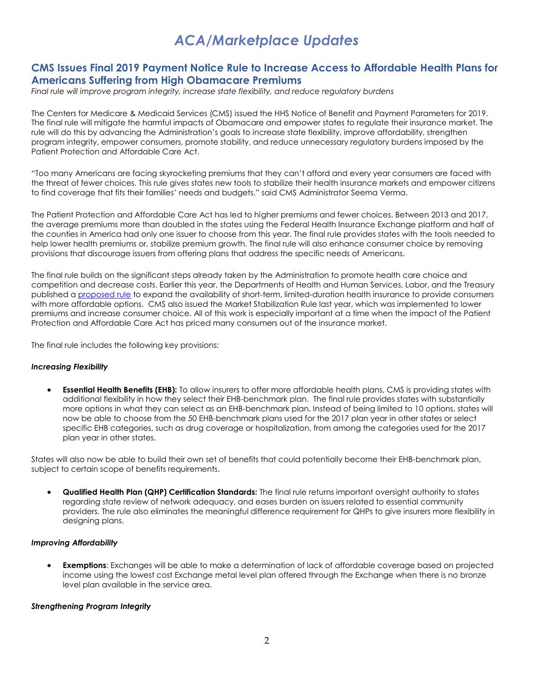## *ACA/Marketplace Updates*

### <span id="page-1-1"></span><span id="page-1-0"></span>**CMS Issues Final 2019 Payment Notice Rule to Increase Access to Affordable Health Plans for Americans Suffering from High Obamacare Premiums**

*Final rule will improve program integrity, increase state flexibility, and reduce regulatory burdens* 

The Centers for Medicare & Medicaid Services (CMS) issued the HHS Notice of Benefit and Payment Parameters for 2019. The final rule will mitigate the harmful impacts of Obamacare and empower states to regulate their insurance market. The rule will do this by advancing the Administration's goals to increase state flexibility, improve affordability, strengthen program integrity, empower consumers, promote stability, and reduce unnecessary regulatory burdens imposed by the Patient Protection and Affordable Care Act.

"Too many Americans are facing skyrocketing premiums that they can't afford and every year consumers are faced with the threat of fewer choices. This rule gives states new tools to stabilize their health insurance markets and empower citizens to find coverage that fits their families' needs and budgets," said CMS Administrator Seema Verma.

The Patient Protection and Affordable Care Act has led to higher premiums and fewer choices. Between 2013 and 2017, the average premiums more than doubled in the states using the Federal Health Insurance Exchange platform and half of the counties in America had only one issuer to choose from this year. The final rule provides states with the tools needed to help lower health premiums or, stabilize premium growth. The final rule will also enhance consumer choice by removing provisions that discourage issuers from offering plans that address the specific needs of Americans.

The final rule builds on the significant steps already taken by the Administration to promote health care choice and competition and decrease costs. Earlier this year, the Departments of Health and Human Services, Labor, and the Treasury published [a proposed rule](http://links.govdelivery.com/track?type=click&enid=ZWFzPTEmbXNpZD0mYXVpZD0mbWFpbGluZ2lkPTIwMTgwNDA5Ljg4MTM4NTYxJm1lc3NhZ2VpZD1NREItUFJELUJVTC0yMDE4MDQwOS44ODEzODU2MSZkYXRhYmFzZWlkPTEwMDEmc2VyaWFsPTE4Mjg2NzE4JmVtYWlsaWQ9bWFyaWx5bi5tYXVsdHNieUBjbXMuaGhzLmdvdiZ1c2VyaWQ9bWFyaWx5bi5tYXVsdHNieUBjbXMuaGhzLmdvdiZ0YXJnZXRpZD0mZmw9JmV4dHJhPU11bHRpdmFyaWF0ZUlkPSYmJg==&&&101&&&https://www.hhs.gov/about/news/2018/02/20/trump-administration-works-give-relief-americans-facing-high-premiums-fewer-choices.html) to expand the availability of short-term, limited-duration health insurance to provide consumers with more affordable options. CMS also issued the Market Stabilization Rule last year, which was implemented to lower premiums and increase consumer choice. All of this work is especially important at a time when the impact of the Patient Protection and Affordable Care Act has priced many consumers out of the insurance market.

The final rule includes the following key provisions:

### *Increasing Flexibility*

 **Essential Health Benefits (EHB):** To allow insurers to offer more affordable health plans, CMS is providing states with additional flexibility in how they select their EHB-benchmark plan. The final rule provides states with substantially more options in what they can select as an EHB-benchmark plan. Instead of being limited to 10 options, states will now be able to choose from the 50 EHB-benchmark plans used for the 2017 plan year in other states or select specific EHB categories, such as drug coverage or hospitalization, from among the categories used for the 2017 plan year in other states.

States will also now be able to build their own set of benefits that could potentially become their EHB-benchmark plan, subject to certain scope of benefits requirements.

 **Qualified Health Plan (QHP) Certification Standards:** The final rule returns important oversight authority to states regarding state review of network adequacy, and eases burden on issuers related to essential community providers. The rule also eliminates the meaningful difference requirement for QHPs to give insurers more flexibility in designing plans.

#### *Improving Affordability*

 **Exemptions**: Exchanges will be able to make a determination of lack of affordable coverage based on projected income using the lowest cost Exchange metal level plan offered through the Exchange when there is no bronze level plan available in the service area.

### *Strengthening Program Integrity*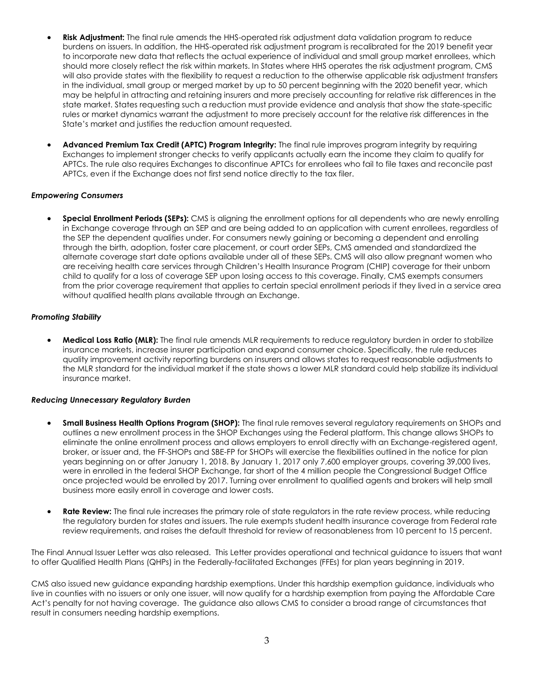- **Risk Adjustment:** The final rule amends the HHS-operated risk adjustment data validation program to reduce burdens on issuers. In addition, the HHS-operated risk adjustment program is recalibrated for the 2019 benefit year to incorporate new data that reflects the actual experience of individual and small group market enrollees, which should more closely reflect the risk within markets. In States where HHS operates the risk adjustment program, CMS will also provide states with the flexibility to request a reduction to the otherwise applicable risk adjustment transfers in the individual, small group or merged market by up to 50 percent beginning with the 2020 benefit year, which may be helpful in attracting and retaining insurers and more precisely accounting for relative risk differences in the state market. States requesting such a reduction must provide evidence and analysis that show the state-specific rules or market dynamics warrant the adjustment to more precisely account for the relative risk differences in the State's market and justifies the reduction amount requested.
- **Advanced Premium Tax Credit (APTC) Program Integrity:** The final rule improves program integrity by requiring Exchanges to implement stronger checks to verify applicants actually earn the income they claim to qualify for APTCs. The rule also requires Exchanges to discontinue APTCs for enrollees who fail to file taxes and reconcile past APTCs, even if the Exchange does not first send notice directly to the tax filer.

### *Empowering Consumers*

 **Special Enrollment Periods (SEPs):** CMS is aligning the enrollment options for all dependents who are newly enrolling in Exchange coverage through an SEP and are being added to an application with current enrollees, regardless of the SEP the dependent qualifies under. For consumers newly gaining or becoming a dependent and enrolling through the birth, adoption, foster care placement, or court order SEPs, CMS amended and standardized the alternate coverage start date options available under all of these SEPs. CMS will also allow pregnant women who are receiving health care services through Children's Health Insurance Program (CHIP) coverage for their unborn child to qualify for a loss of coverage SEP upon losing access to this coverage. Finally, CMS exempts consumers from the prior coverage requirement that applies to certain special enrollment periods if they lived in a service area without qualified health plans available through an Exchange.

#### *Promoting Stability*

 **Medical Loss Ratio (MLR):** The final rule amends MLR requirements to reduce regulatory burden in order to stabilize insurance markets, increase insurer participation and expand consumer choice. Specifically, the rule reduces quality improvement activity reporting burdens on insurers and allows states to request reasonable adjustments to the MLR standard for the individual market if the state shows a lower MLR standard could help stabilize its individual insurance market.

#### *Reducing Unnecessary Regulatory Burden*

- **Small Business Health Options Program (SHOP):** The final rule removes several regulatory requirements on SHOPs and outlines a new enrollment process in the SHOP Exchanges using the Federal platform. This change allows SHOPs to eliminate the online enrollment process and allows employers to enroll directly with an Exchange-registered agent, broker, or issuer and, the FF-SHOPs and SBE-FP for SHOPs will exercise the flexibilities outlined in the notice for plan years beginning on or after January 1, 2018. By January 1, 2017 only 7,600 employer groups, covering 39,000 lives, were in enrolled in the federal SHOP Exchange, far short of the 4 million people the Congressional Budget Office once projected would be enrolled by 2017. Turning over enrollment to qualified agents and brokers will help small business more easily enroll in coverage and lower costs.
- **Rate Review:** The final rule increases the primary role of state regulators in the rate review process, while reducing the regulatory burden for states and issuers. The rule exempts student health insurance coverage from Federal rate review requirements, and raises the default threshold for review of reasonableness from 10 percent to 15 percent.

The Final Annual Issuer Letter was also released. This Letter provides operational and technical guidance to issuers that want to offer Qualified Health Plans (QHPs) in the Federally-facilitated Exchanges (FFEs) for plan years beginning in 2019.

CMS also issued new guidance expanding hardship exemptions. Under this hardship exemption guidance, individuals who live in counties with no issuers or only one issuer, will now qualify for a hardship exemption from paying the Affordable Care Act's penalty for not having coverage. The guidance also allows CMS to consider a broad range of circumstances that result in consumers needing hardship exemptions.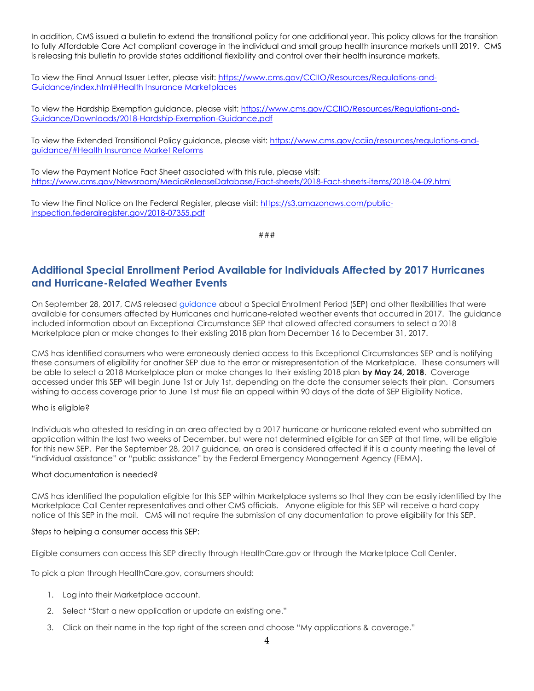In addition, CMS issued a bulletin to extend the transitional policy for one additional year. This policy allows for the transition to fully Affordable Care Act compliant coverage in the individual and small group health insurance markets until 2019. CMS is releasing this bulletin to provide states additional flexibility and control over their health insurance markets.

To view the Final Annual Issuer Letter, please visit: [https://www.cms.gov/CCIIO/Resources/Regulations-and-](http://links.govdelivery.com/track?type=click&enid=ZWFzPTEmbXNpZD0mYXVpZD0mbWFpbGluZ2lkPTIwMTgwNDA5Ljg4MTM4NTYxJm1lc3NhZ2VpZD1NREItUFJELUJVTC0yMDE4MDQwOS44ODEzODU2MSZkYXRhYmFzZWlkPTEwMDEmc2VyaWFsPTE4Mjg2NzE4JmVtYWlsaWQ9bWFyaWx5bi5tYXVsdHNieUBjbXMuaGhzLmdvdiZ1c2VyaWQ9bWFyaWx5bi5tYXVsdHNieUBjbXMuaGhzLmdvdiZ0YXJnZXRpZD0mZmw9JmV4dHJhPU11bHRpdmFyaWF0ZUlkPSYmJg==&&&102&&&https://www.cms.gov/CCIIO/Resources/Regulations-and-Guidance/index.html#Health%20Insurance%20Marketplaces)[Guidance/index.html#Health Insurance Marketplaces](http://links.govdelivery.com/track?type=click&enid=ZWFzPTEmbXNpZD0mYXVpZD0mbWFpbGluZ2lkPTIwMTgwNDA5Ljg4MTM4NTYxJm1lc3NhZ2VpZD1NREItUFJELUJVTC0yMDE4MDQwOS44ODEzODU2MSZkYXRhYmFzZWlkPTEwMDEmc2VyaWFsPTE4Mjg2NzE4JmVtYWlsaWQ9bWFyaWx5bi5tYXVsdHNieUBjbXMuaGhzLmdvdiZ1c2VyaWQ9bWFyaWx5bi5tYXVsdHNieUBjbXMuaGhzLmdvdiZ0YXJnZXRpZD0mZmw9JmV4dHJhPU11bHRpdmFyaWF0ZUlkPSYmJg==&&&102&&&https://www.cms.gov/CCIIO/Resources/Regulations-and-Guidance/index.html#Health%20Insurance%20Marketplaces)

To view the Hardship Exemption guidance, please visit: [https://www.cms.gov/CCIIO/Resources/Regulations-and-](http://links.govdelivery.com/track?type=click&enid=ZWFzPTEmbXNpZD0mYXVpZD0mbWFpbGluZ2lkPTIwMTgwNDA5Ljg4MTM4NTYxJm1lc3NhZ2VpZD1NREItUFJELUJVTC0yMDE4MDQwOS44ODEzODU2MSZkYXRhYmFzZWlkPTEwMDEmc2VyaWFsPTE4Mjg2NzE4JmVtYWlsaWQ9bWFyaWx5bi5tYXVsdHNieUBjbXMuaGhzLmdvdiZ1c2VyaWQ9bWFyaWx5bi5tYXVsdHNieUBjbXMuaGhzLmdvdiZ0YXJnZXRpZD0mZmw9JmV4dHJhPU11bHRpdmFyaWF0ZUlkPSYmJg==&&&103&&&https://www.cms.gov/CCIIO/Resources/Regulations-and-Guidance/Downloads/2018-Hardship-Exemption-Guidance.pdf)[Guidance/Downloads/2018-Hardship-Exemption-Guidance.pdf](http://links.govdelivery.com/track?type=click&enid=ZWFzPTEmbXNpZD0mYXVpZD0mbWFpbGluZ2lkPTIwMTgwNDA5Ljg4MTM4NTYxJm1lc3NhZ2VpZD1NREItUFJELUJVTC0yMDE4MDQwOS44ODEzODU2MSZkYXRhYmFzZWlkPTEwMDEmc2VyaWFsPTE4Mjg2NzE4JmVtYWlsaWQ9bWFyaWx5bi5tYXVsdHNieUBjbXMuaGhzLmdvdiZ1c2VyaWQ9bWFyaWx5bi5tYXVsdHNieUBjbXMuaGhzLmdvdiZ0YXJnZXRpZD0mZmw9JmV4dHJhPU11bHRpdmFyaWF0ZUlkPSYmJg==&&&103&&&https://www.cms.gov/CCIIO/Resources/Regulations-and-Guidance/Downloads/2018-Hardship-Exemption-Guidance.pdf)

To view the Extended Transitional Policy guidance, please visit: [https://www.cms.gov/cciio/resources/regulations-and](http://links.govdelivery.com/track?type=click&enid=ZWFzPTEmbXNpZD0mYXVpZD0mbWFpbGluZ2lkPTIwMTgwNDA5Ljg4MTM4NTYxJm1lc3NhZ2VpZD1NREItUFJELUJVTC0yMDE4MDQwOS44ODEzODU2MSZkYXRhYmFzZWlkPTEwMDEmc2VyaWFsPTE4Mjg2NzE4JmVtYWlsaWQ9bWFyaWx5bi5tYXVsdHNieUBjbXMuaGhzLmdvdiZ1c2VyaWQ9bWFyaWx5bi5tYXVsdHNieUBjbXMuaGhzLmdvdiZ0YXJnZXRpZD0mZmw9JmV4dHJhPU11bHRpdmFyaWF0ZUlkPSYmJg==&&&104&&&https://www.cms.gov/cciio/resources/regulations-and-guidance/%23Health%20Insurance%20Market%20Reforms)[guidance/#Health Insurance Market Reforms](http://links.govdelivery.com/track?type=click&enid=ZWFzPTEmbXNpZD0mYXVpZD0mbWFpbGluZ2lkPTIwMTgwNDA5Ljg4MTM4NTYxJm1lc3NhZ2VpZD1NREItUFJELUJVTC0yMDE4MDQwOS44ODEzODU2MSZkYXRhYmFzZWlkPTEwMDEmc2VyaWFsPTE4Mjg2NzE4JmVtYWlsaWQ9bWFyaWx5bi5tYXVsdHNieUBjbXMuaGhzLmdvdiZ1c2VyaWQ9bWFyaWx5bi5tYXVsdHNieUBjbXMuaGhzLmdvdiZ0YXJnZXRpZD0mZmw9JmV4dHJhPU11bHRpdmFyaWF0ZUlkPSYmJg==&&&104&&&https://www.cms.gov/cciio/resources/regulations-and-guidance/%23Health%20Insurance%20Market%20Reforms)

To view the Payment Notice Fact Sheet associated with this rule, please visit: [https://www.cms.gov/Newsroom/MediaReleaseDatabase/Fact-sheets/2018-Fact-sheets-items/2018-04-09.html](http://links.govdelivery.com/track?type=click&enid=ZWFzPTEmbXNpZD0mYXVpZD0mbWFpbGluZ2lkPTIwMTgwNDA5Ljg4MTM4NTYxJm1lc3NhZ2VpZD1NREItUFJELUJVTC0yMDE4MDQwOS44ODEzODU2MSZkYXRhYmFzZWlkPTEwMDEmc2VyaWFsPTE4Mjg2NzE4JmVtYWlsaWQ9bWFyaWx5bi5tYXVsdHNieUBjbXMuaGhzLmdvdiZ1c2VyaWQ9bWFyaWx5bi5tYXVsdHNieUBjbXMuaGhzLmdvdiZ0YXJnZXRpZD0mZmw9JmV4dHJhPU11bHRpdmFyaWF0ZUlkPSYmJg==&&&105&&&https://www.cms.gov/Newsroom/MediaReleaseDatabase/Fact-sheets/2018-Fact-sheets-items/2018-04-09.html)

To view the Final Notice on the Federal Register, please visit: [https://s3.amazonaws.com/public](http://links.govdelivery.com/track?type=click&enid=ZWFzPTEmbXNpZD0mYXVpZD0mbWFpbGluZ2lkPTIwMTgwNDA5Ljg4MTM4NTYxJm1lc3NhZ2VpZD1NREItUFJELUJVTC0yMDE4MDQwOS44ODEzODU2MSZkYXRhYmFzZWlkPTEwMDEmc2VyaWFsPTE4Mjg2NzE4JmVtYWlsaWQ9bWFyaWx5bi5tYXVsdHNieUBjbXMuaGhzLmdvdiZ1c2VyaWQ9bWFyaWx5bi5tYXVsdHNieUBjbXMuaGhzLmdvdiZ0YXJnZXRpZD0mZmw9JmV4dHJhPU11bHRpdmFyaWF0ZUlkPSYmJg==&&&106&&&https://s3.amazonaws.com/public-inspection.federalregister.gov/2018-07355.pdf)[inspection.federalregister.gov/2018-07355.pdf](http://links.govdelivery.com/track?type=click&enid=ZWFzPTEmbXNpZD0mYXVpZD0mbWFpbGluZ2lkPTIwMTgwNDA5Ljg4MTM4NTYxJm1lc3NhZ2VpZD1NREItUFJELUJVTC0yMDE4MDQwOS44ODEzODU2MSZkYXRhYmFzZWlkPTEwMDEmc2VyaWFsPTE4Mjg2NzE4JmVtYWlsaWQ9bWFyaWx5bi5tYXVsdHNieUBjbXMuaGhzLmdvdiZ1c2VyaWQ9bWFyaWx5bi5tYXVsdHNieUBjbXMuaGhzLmdvdiZ0YXJnZXRpZD0mZmw9JmV4dHJhPU11bHRpdmFyaWF0ZUlkPSYmJg==&&&106&&&https://s3.amazonaws.com/public-inspection.federalregister.gov/2018-07355.pdf)

###

### <span id="page-3-0"></span>**Additional Special Enrollment Period Available for Individuals Affected by 2017 Hurricanes and Hurricane-Related Weather Events**

On September 28, 2017, CMS release[d guidance](http://links.govdelivery.com/track?type=click&enid=ZWFzPTEmbXNpZD0mYXVpZD0mbWFpbGluZ2lkPTIwMTgwNDE5Ljg4NjgxMzkxJm1lc3NhZ2VpZD1NREItUFJELUJVTC0yMDE4MDQxOS44ODY4MTM5MSZkYXRhYmFzZWlkPTEwMDEmc2VyaWFsPTE4Mjk2NTIwJmVtYWlsaWQ9bG9yZWxlaS5zY2hpZWZlcmRlY2tlckBjbXMuaGhzLmdvdiZ1c2VyaWQ9bG9yZWxlaS5zY2hpZWZlcmRlY2tlckBjbXMuaGhzLmdvdiZ0YXJnZXRpZD0mZmw9JmV4dHJhPU11bHRpdmFyaWF0ZUlkPSYmJg==&&&100&&&https://www.cms.gov/CCIIO/Resources/Regulations-and-Guidance/Downloads/2017-Hurricane-Disasters-Guidance.pdf) about a Special Enrollment Period (SEP) and other flexibilities that were available for consumers affected by Hurricanes and hurricane-related weather events that occurred in 2017. The guidance included information about an Exceptional Circumstance SEP that allowed affected consumers to select a 2018 Marketplace plan or make changes to their existing 2018 plan from December 16 to December 31, 2017.

CMS has identified consumers who were erroneously denied access to this Exceptional Circumstances SEP and is notifying these consumers of eligibility for another SEP due to the error or misrepresentation of the Marketplace. These consumers will be able to select a 2018 Marketplace plan or make changes to their existing 2018 plan **by May 24, 2018**. Coverage accessed under this SEP will begin June 1st or July 1st, depending on the date the consumer selects their plan. Consumers wishing to access coverage prior to June 1st must file an appeal within 90 days of the date of SEP Eligibility Notice.

#### Who is eligible?

Individuals who attested to residing in an area affected by a 2017 hurricane or hurricane related event who submitted an application within the last two weeks of December, but were not determined eligible for an SEP at that time, will be eligible for this new SEP. Per the September 28, 2017 guidance, an area is considered affected if it is a county meeting the level of "individual assistance" or "public assistance" by the Federal Emergency Management Agency (FEMA).

#### What documentation is needed?

CMS has identified the population eligible for this SEP within Marketplace systems so that they can be easily identified by the Marketplace Call Center representatives and other CMS officials. Anyone eligible for this SEP will receive a hard copy notice of this SEP in the mail. CMS will not require the submission of any documentation to prove eligibility for this SEP.

Steps to helping a consumer access this SEP:

Eligible consumers can access this SEP directly through HealthCare.gov or through the Marketplace Call Center.

To pick a plan through HealthCare.gov, consumers should:

- 1. Log into their Marketplace account.
- 2. Select "Start a new application or update an existing one."
- 3. Click on their name in the top right of the screen and choose "My applications & coverage."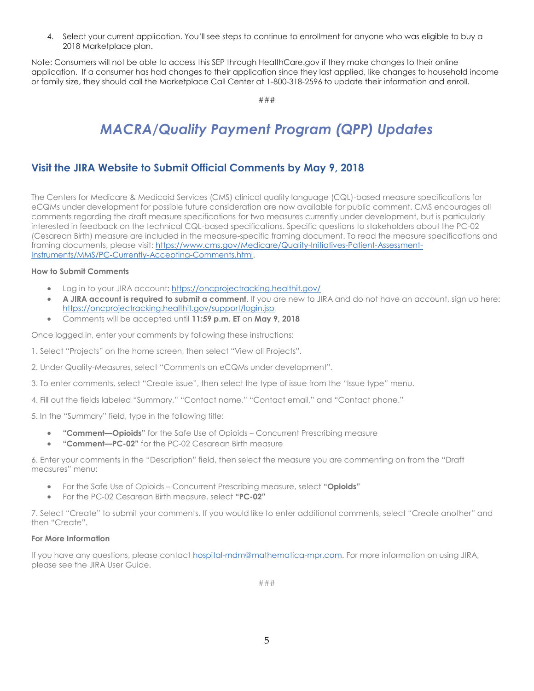4. Select your current application. You'll see steps to continue to enrollment for anyone who was eligible to buy a 2018 Marketplace plan.

Note: Consumers will not be able to access this SEP through HealthCare.gov if they make changes to their online application. If a consumer has had changes to their application since they last applied, like changes to household income or family size, they should call the Marketplace Call Center at 1-800-318-2596 to update their information and enroll.

###

## *MACRA/Quality Payment Program (QPP) Updates*

### <span id="page-4-1"></span><span id="page-4-0"></span>**Visit the JIRA Website to Submit Official Comments by May 9, 2018**

The Centers for Medicare & Medicaid Services (CMS) clinical quality language (CQL)-based measure specifications for eCQMs under development for possible future consideration are now available for public comment. CMS encourages all comments regarding the draft measure specifications for two measures currently under development, but is particularly interested in feedback on the technical CQL-based specifications. Specific questions to stakeholders about the PC-02 (Cesarean Birth) measure are included in the measure-specific framing document. To read the measure specifications and framing documents, please visit: [https://www.cms.gov/Medicare/Quality-Initiatives-Patient-Assessment-](http://links.govdelivery.com/track?type=click&enid=ZWFzPTEmbXNpZD0mYXVpZD0mbWFpbGluZ2lkPTIwMTgwNDE5Ljg4NzA1MzQxJm1lc3NhZ2VpZD1NREItUFJELUJVTC0yMDE4MDQxOS44ODcwNTM0MSZkYXRhYmFzZWlkPTEwMDEmc2VyaWFsPTE4Mjk2ODM4JmVtYWlsaWQ9bG9yZWxlaS5zY2hpZWZlcmRlY2tlckBjbXMuaGhzLmdvdiZ1c2VyaWQ9bG9yZWxlaS5zY2hpZWZlcmRlY2tlckBjbXMuaGhzLmdvdiZ0YXJnZXRpZD0mZmw9JmV4dHJhPU11bHRpdmFyaWF0ZUlkPSYmJg==&&&100&&&https://urldefense.proofpoint.com/v2/url?u=https-3A__www.cms.gov_Medicare_Quality-2DInitiatives-2DPatient-2DAssessment-2DInstruments_MMS_PC-2DCurrently-2DAccepting-2DComments.html&d=DwMFAg&c=9wxE0DgWbPxd1HCzjwN8Eaww1--ViDajIU4RXCxgSXE&r=Fh4SUPkv_f67wlRsyTI9SpsavuIIRt16-cmGDciEdmU&m=6-onFhB19IImOQimfhlJtao-UtKPmdEcT8sWs6aaK9U&s=8YNAfd0G8TkrGO3Itufj8rQcTXMCnihnxreed64tPBM&e=)[Instruments/MMS/PC-Currently-Accepting-Comments.html.](http://links.govdelivery.com/track?type=click&enid=ZWFzPTEmbXNpZD0mYXVpZD0mbWFpbGluZ2lkPTIwMTgwNDE5Ljg4NzA1MzQxJm1lc3NhZ2VpZD1NREItUFJELUJVTC0yMDE4MDQxOS44ODcwNTM0MSZkYXRhYmFzZWlkPTEwMDEmc2VyaWFsPTE4Mjk2ODM4JmVtYWlsaWQ9bG9yZWxlaS5zY2hpZWZlcmRlY2tlckBjbXMuaGhzLmdvdiZ1c2VyaWQ9bG9yZWxlaS5zY2hpZWZlcmRlY2tlckBjbXMuaGhzLmdvdiZ0YXJnZXRpZD0mZmw9JmV4dHJhPU11bHRpdmFyaWF0ZUlkPSYmJg==&&&100&&&https://urldefense.proofpoint.com/v2/url?u=https-3A__www.cms.gov_Medicare_Quality-2DInitiatives-2DPatient-2DAssessment-2DInstruments_MMS_PC-2DCurrently-2DAccepting-2DComments.html&d=DwMFAg&c=9wxE0DgWbPxd1HCzjwN8Eaww1--ViDajIU4RXCxgSXE&r=Fh4SUPkv_f67wlRsyTI9SpsavuIIRt16-cmGDciEdmU&m=6-onFhB19IImOQimfhlJtao-UtKPmdEcT8sWs6aaK9U&s=8YNAfd0G8TkrGO3Itufj8rQcTXMCnihnxreed64tPBM&e=)

### **How to Submit Comments**

- Log in to your JIRA account**:** [https://oncprojectracking.healthit.gov/](http://links.govdelivery.com/track?type=click&enid=ZWFzPTEmbXNpZD0mYXVpZD0mbWFpbGluZ2lkPTIwMTgwNDE5Ljg4NzA1MzQxJm1lc3NhZ2VpZD1NREItUFJELUJVTC0yMDE4MDQxOS44ODcwNTM0MSZkYXRhYmFzZWlkPTEwMDEmc2VyaWFsPTE4Mjk2ODM4JmVtYWlsaWQ9bG9yZWxlaS5zY2hpZWZlcmRlY2tlckBjbXMuaGhzLmdvdiZ1c2VyaWQ9bG9yZWxlaS5zY2hpZWZlcmRlY2tlckBjbXMuaGhzLmdvdiZ0YXJnZXRpZD0mZmw9JmV4dHJhPU11bHRpdmFyaWF0ZUlkPSYmJg==&&&101&&&https://urldefense.proofpoint.com/v2/url?u=https-3A__oncprojectracking.healthit.gov_&d=DwMFAg&c=9wxE0DgWbPxd1HCzjwN8Eaww1--ViDajIU4RXCxgSXE&r=Fh4SUPkv_f67wlRsyTI9SpsavuIIRt16-cmGDciEdmU&m=6-onFhB19IImOQimfhlJtao-UtKPmdEcT8sWs6aaK9U&s=vkiK9c8jYNY4XoNtmt30YYNt0GcKLMXsPvhHh8Z3L8w&e=)
- **A JIRA account is required to submit a comment**. If you are new to JIRA and do not have an account, sign up here: [https://oncprojectracking.healthit.gov/support/login.jsp](http://links.govdelivery.com/track?type=click&enid=ZWFzPTEmbXNpZD0mYXVpZD0mbWFpbGluZ2lkPTIwMTgwNDE5Ljg4NzA1MzQxJm1lc3NhZ2VpZD1NREItUFJELUJVTC0yMDE4MDQxOS44ODcwNTM0MSZkYXRhYmFzZWlkPTEwMDEmc2VyaWFsPTE4Mjk2ODM4JmVtYWlsaWQ9bG9yZWxlaS5zY2hpZWZlcmRlY2tlckBjbXMuaGhzLmdvdiZ1c2VyaWQ9bG9yZWxlaS5zY2hpZWZlcmRlY2tlckBjbXMuaGhzLmdvdiZ0YXJnZXRpZD0mZmw9JmV4dHJhPU11bHRpdmFyaWF0ZUlkPSYmJg==&&&102&&&https://urldefense.proofpoint.com/v2/url?u=https-3A__oncprojectracking.healthit.gov_support_login.jsp&d=DwMFAg&c=9wxE0DgWbPxd1HCzjwN8Eaww1--ViDajIU4RXCxgSXE&r=Fh4SUPkv_f67wlRsyTI9SpsavuIIRt16-cmGDciEdmU&m=6-onFhB19IImOQimfhlJtao-UtKPmdEcT8sWs6aaK9U&s=-JVX7Pa6zxLdoCYgDUWMU0Y1Co3tzsYr2NktC4m3Z7A&e=)
- Comments will be accepted until **11:59 p.m. ET** on **May 9, 2018**

Once logged in, enter your comments by following these instructions:

- 1. Select "Projects" on the home screen, then select "View all Projects".
- 2. Under Quality-Measures, select "Comments on eCQMs under development".
- 3. To enter comments, select "Create issue", then select the type of issue from the "Issue type" menu.
- 4. Fill out the fields labeled "Summary," "Contact name," "Contact email," and "Contact phone."
- 5. In the "Summary" field, type in the following title:
	- **"Comment—Opioids"** for the Safe Use of Opioids Concurrent Prescribing measure
	- **"Comment—PC-02"** for the PC-02 Cesarean Birth measure

6. Enter your comments in the "Description" field, then select the measure you are commenting on from the "Draft measures" menu:

- For the Safe Use of Opioids Concurrent Prescribing measure, select **"Opioids"**
- For the PC-02 Cesarean Birth measure, select **"PC-02"**

7. Select "Create" to submit your comments. If you would like to enter additional comments, select "Create another" and then "Create".

### **For More Information**

If you have any questions, please contact **hospital-mdm@mathematica-mpr.com**. For more information on using JIRA, please see the JIRA User Guide.

###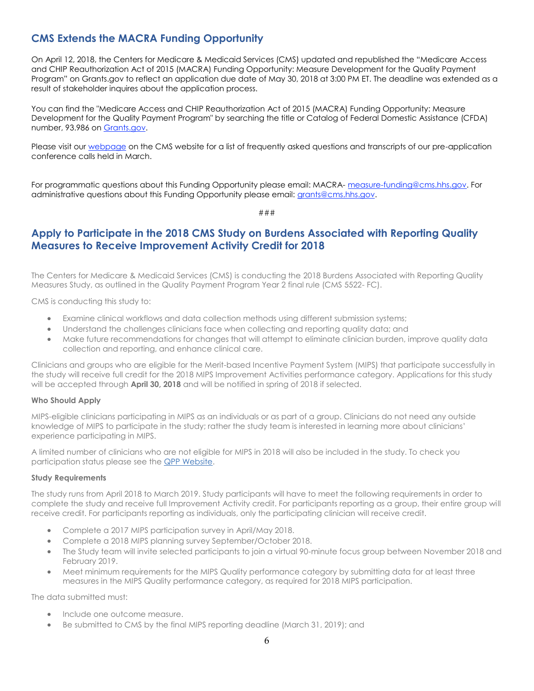### <span id="page-5-0"></span>**CMS Extends the MACRA Funding Opportunity**

On April 12, 2018, the Centers for Medicare & Medicaid Services (CMS) updated and republished the "Medicare Access and CHIP Reauthorization Act of 2015 (MACRA) Funding Opportunity: Measure Development for the Quality Payment Program" on Grants.gov to reflect an application due date of May 30, 2018 at 3:00 PM ET. The deadline was extended as a result of stakeholder inquires about the application process.

You can find the "Medicare Access and CHIP Reauthorization Act of 2015 (MACRA) Funding Opportunity: Measure Development for the Quality Payment Program" by searching the title or Catalog of Federal Domestic Assistance (CFDA) number, 93.986 on [Grants.gov.](http://links.govdelivery.com/track?type=click&enid=ZWFzPTEmbXNpZD0mYXVpZD0mbWFpbGluZ2lkPTIwMTgwNDIwLjg4NzQ0NzUxJm1lc3NhZ2VpZD1NREItUFJELUJVTC0yMDE4MDQyMC44ODc0NDc1MSZkYXRhYmFzZWlkPTEwMDEmc2VyaWFsPTE4Mjk3MzYxJmVtYWlsaWQ9bG9yZWxlaS5zY2hpZWZlcmRlY2tlckBjbXMuaGhzLmdvdiZ1c2VyaWQ9bG9yZWxlaS5zY2hpZWZlcmRlY2tlckBjbXMuaGhzLmdvdiZ0YXJnZXRpZD0mZmw9JmV4dHJhPU11bHRpdmFyaWF0ZUlkPSYmJg==&&&100&&&https://www.grants.gov/)

Please visit our [webpage](http://links.govdelivery.com/track?type=click&enid=ZWFzPTEmbXNpZD0mYXVpZD0mbWFpbGluZ2lkPTIwMTgwNDIwLjg4NzQ0NzUxJm1lc3NhZ2VpZD1NREItUFJELUJVTC0yMDE4MDQyMC44ODc0NDc1MSZkYXRhYmFzZWlkPTEwMDEmc2VyaWFsPTE4Mjk3MzYxJmVtYWlsaWQ9bG9yZWxlaS5zY2hpZWZlcmRlY2tlckBjbXMuaGhzLmdvdiZ1c2VyaWQ9bG9yZWxlaS5zY2hpZWZlcmRlY2tlckBjbXMuaGhzLmdvdiZ0YXJnZXRpZD0mZmw9JmV4dHJhPU11bHRpdmFyaWF0ZUlkPSYmJg==&&&101&&&https://www.cms.gov/Medicare/Quality-Initiatives-Patient-Assessment-Instruments/Value-Based-Programs/MACRA-MIPS-and-APMs/MACRA-MIPS-and-APMs.html) on the CMS website for a list of frequently asked questions and transcripts of our pre-application conference calls held in March.

For programmatic questions about this Funding Opportunity please email: MACRA- [measure-funding@cms.hhs.gov.](mailto:measure-funding@cms.hhs.gov) For administrative questions about this Funding Opportunity please email: [grants@cms.hhs.gov.](mailto:grants@cms.hhs.gov)

###

### <span id="page-5-1"></span>**Apply to Participate in the 2018 CMS Study on Burdens Associated with Reporting Quality Measures to Receive Improvement Activity Credit for 2018**

The Centers for Medicare & Medicaid Services (CMS) is conducting the 2018 Burdens Associated with Reporting Quality Measures Study, as outlined in the Quality Payment Program Year 2 final rule (CMS 5522- FC).

CMS is conducting this study to:

- Examine clinical workflows and data collection methods using different submission systems;
- Understand the challenges clinicians face when collecting and reporting quality data; and
- Make future recommendations for changes that will attempt to eliminate clinician burden, improve quality data collection and reporting, and enhance clinical care.

Clinicians and groups who are eligible for the Merit-based Incentive Payment System (MIPS) that participate successfully in the study will receive full credit for the 2018 MIPS Improvement Activities performance category. Applications for this study will be accepted through **April 30, 2018** and will be notified in spring of 2018 if selected.

### **Who Should Apply**

MIPS-eligible clinicians participating in MIPS as an individuals or as part of a group. Clinicians do not need any outside knowledge of MIPS to participate in the study; rather the study team is interested in learning more about clinicians' experience participating in MIPS.

A limited number of clinicians who are not eligible for MIPS in 2018 will also be included in the study. To check you participation status please see the [QPP Website.](http://links.govdelivery.com/track?type=click&enid=ZWFzPTEmbXNpZD0mYXVpZD0mbWFpbGluZ2lkPTIwMTgwNDE4Ljg4NTk2ODcxJm1lc3NhZ2VpZD1NREItUFJELUJVTC0yMDE4MDQxOC44ODU5Njg3MSZkYXRhYmFzZWlkPTEwMDEmc2VyaWFsPTE4Mjk1Mjk3JmVtYWlsaWQ9bG9yZWxlaS5zY2hpZWZlcmRlY2tlckBjbXMuaGhzLmdvdiZ1c2VyaWQ9bG9yZWxlaS5zY2hpZWZlcmRlY2tlckBjbXMuaGhzLmdvdiZ0YXJnZXRpZD0mZmw9JmV4dHJhPU11bHRpdmFyaWF0ZUlkPSYmJg==&&&100&&&https://qpp.cms.gov/participation-lookup)

#### **Study Requirements**

The study runs from April 2018 to March 2019. Study participants will have to meet the following requirements in order to complete the study and receive full Improvement Activity credit. For participants reporting as a group, their entire group will receive credit. For participants reporting as individuals, only the participating clinician will receive credit.

- Complete a 2017 MIPS participation survey in April/May 2018.
- Complete a 2018 MIPS planning survey September/October 2018.
- The Study team will invite selected participants to join a virtual 90-minute focus group between November 2018 and February 2019.
- Meet minimum requirements for the MIPS Quality performance category by submitting data for at least three measures in the MIPS Quality performance category, as required for 2018 MIPS participation.

The data submitted must:

- Include one outcome measure.
- Be submitted to CMS by the final MIPS reporting deadline (March 31, 2019); and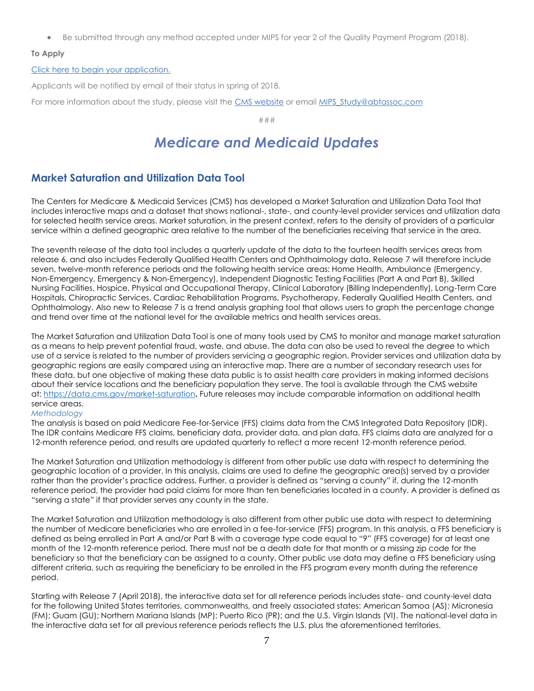Be submitted through any method accepted under MIPS for year 2 of the Quality Payment Program (2018).

### **To Apply**

### [Click here to begin your application.](http://links.govdelivery.com/track?type=click&enid=ZWFzPTEmbXNpZD0mYXVpZD0mbWFpbGluZ2lkPTIwMTgwNDE4Ljg4NTk2ODcxJm1lc3NhZ2VpZD1NREItUFJELUJVTC0yMDE4MDQxOC44ODU5Njg3MSZkYXRhYmFzZWlkPTEwMDEmc2VyaWFsPTE4Mjk1Mjk3JmVtYWlsaWQ9bG9yZWxlaS5zY2hpZWZlcmRlY2tlckBjbXMuaGhzLmdvdiZ1c2VyaWQ9bG9yZWxlaS5zY2hpZWZlcmRlY2tlckBjbXMuaGhzLmdvdiZ0YXJnZXRpZD0mZmw9JmV4dHJhPU11bHRpdmFyaWF0ZUlkPSYmJg==&&&101&&&https://surveys.abtassociates.com/s3/FY18-Improvement-Activity-IA-Study-Application)

Applicants will be notified by email of their status in spring of 2018.

<span id="page-6-0"></span>For more information about the study, please visit the [CMS website](http://links.govdelivery.com/track?type=click&enid=ZWFzPTEmbXNpZD0mYXVpZD0mbWFpbGluZ2lkPTIwMTgwNDE4Ljg4NTk2ODcxJm1lc3NhZ2VpZD1NREItUFJELUJVTC0yMDE4MDQxOC44ODU5Njg3MSZkYXRhYmFzZWlkPTEwMDEmc2VyaWFsPTE4Mjk1Mjk3JmVtYWlsaWQ9bG9yZWxlaS5zY2hpZWZlcmRlY2tlckBjbXMuaGhzLmdvdiZ1c2VyaWQ9bG9yZWxlaS5zY2hpZWZlcmRlY2tlckBjbXMuaGhzLmdvdiZ0YXJnZXRpZD0mZmw9JmV4dHJhPU11bHRpdmFyaWF0ZUlkPSYmJg==&&&102&&&https://www.cms.gov/Medicare/Quality-Initiatives-Patient-Assessment-Instruments/Value-Based-Programs/MACRA-MIPS-and-APMs/MACRA-Feedback.html) or email [MIPS\\_Study@abtassoc.com](mailto:MIPS_Study@abtassoc.com)

###

## *Medicare and Medicaid Updates*

### <span id="page-6-1"></span>**Market Saturation and Utilization Data Tool**

The Centers for Medicare & Medicaid Services (CMS) has developed a Market Saturation and Utilization Data Tool that includes interactive maps and a dataset that shows national-, state-, and county-level provider services and utilization data for selected health service areas. Market saturation, in the present context, refers to the density of providers of a particular service within a defined geographic area relative to the number of the beneficiaries receiving that service in the area.

The seventh release of the data tool includes a quarterly update of the data to the fourteen health services areas from release 6, and also includes Federally Qualified Health Centers and Ophthalmology data. Release 7 will therefore include seven, twelve-month reference periods and the following health service areas: Home Health, Ambulance (Emergency, Non-Emergency, Emergency & Non-Emergency), Independent Diagnostic Testing Facilities (Part A and Part B), Skilled Nursing Facilities, Hospice, Physical and Occupational Therapy, Clinical Laboratory (Billing Independently), Long-Term Care Hospitals, Chiropractic Services, Cardiac Rehabilitation Programs, Psychotherapy, Federally Qualified Health Centers, and Ophthalmology. Also new to Release 7 is a trend analysis graphing tool that allows users to graph the percentage change and trend over time at the national level for the available metrics and health services areas.

The Market Saturation and Utilization Data Tool is one of many tools used by CMS to monitor and manage market saturation as a means to help prevent potential fraud, waste, and abuse. The data can also be used to reveal the degree to which use of a service is related to the number of providers servicing a geographic region. Provider services and utilization data by geographic regions are easily compared using an interactive map. There are a number of secondary research uses for these data, but one objective of making these data public is to assist health care providers in making informed decisions about their service locations and the beneficiary population they serve. The tool is available through the CMS website at: <https://data.cms.gov/market-saturation>**.** Future releases may include comparable information on additional health service areas.

### <span id="page-6-2"></span>*Methodology*

The analysis is based on paid Medicare Fee-for-Service (FFS) claims data from the CMS Integrated Data Repository (IDR). The IDR contains Medicare FFS claims, beneficiary data, provider data, and plan data. FFS claims data are analyzed for a 12-month reference period, and results are updated quarterly to reflect a more recent 12-month reference period.

The Market Saturation and Utilization methodology is different from other public use data with respect to determining the geographic location of a provider. In this analysis, claims are used to define the geographic area(s) served by a provider rather than the provider's practice address. Further, a provider is defined as "serving a county" if, during the 12-month reference period, the provider had paid claims for more than ten beneficiaries located in a county. A provider is defined as "serving a state" if that provider serves any county in the state.

The Market Saturation and Utilization methodology is also different from other public use data with respect to determining the number of Medicare beneficiaries who are enrolled in a fee-for-service (FFS) program. In this analysis, a FFS beneficiary is defined as being enrolled in Part A and/or Part B with a coverage type code equal to "9" (FFS coverage) for at least one month of the 12-month reference period. There must not be a death date for that month or a missing zip code for the beneficiary so that the beneficiary can be assigned to a county. Other public use data may define a FFS beneficiary using different criteria, such as requiring the beneficiary to be enrolled in the FFS program every month during the reference period.

Starting with Release 7 (April 2018), the interactive data set for all reference periods includes state- and county-level data for the following United States territories, commonwealths, and freely associated states: American Samoa (AS); Micronesia (FM); Guam (GU); Northern Mariana Islands (MP); Puerto Rico (PR); and the U.S. Virgin Islands (VI). The national-level data in the interactive data set for all previous reference periods reflects the U.S. plus the aforementioned territories.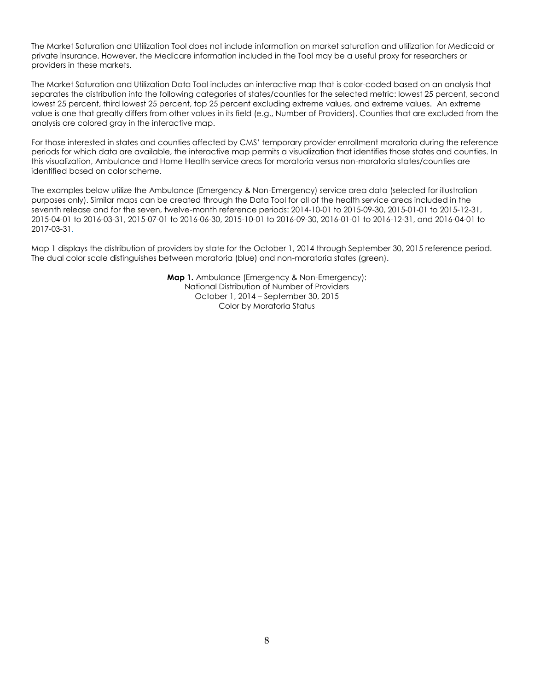The Market Saturation and Utilization Tool does not include information on market saturation and utilization for Medicaid or private insurance. However, the Medicare information included in the Tool may be a useful proxy for researchers or providers in these markets.

The Market Saturation and Utilization Data Tool includes an interactive map that is color-coded based on an analysis that separates the distribution into the following categories of states/counties for the selected metric: lowest 25 percent, second lowest 25 percent, third lowest 25 percent, top 25 percent excluding extreme values, and extreme values. An extreme value is one that greatly differs from other values in its field (e.g., Number of Providers). Counties that are excluded from the analysis are colored gray in the interactive map.

For those interested in states and counties affected by CMS' temporary provider enrollment moratoria during the reference periods for which data are available, the interactive map permits a visualization that identifies those states and counties. In this visualization, Ambulance and Home Health service areas for moratoria versus non-moratoria states/counties are identified based on color scheme.

The examples below utilize the Ambulance (Emergency & Non-Emergency) service area data (selected for illustration purposes only). Similar maps can be created through the Data Tool for all of the health service areas included in the seventh release and for the seven, twelve-month reference periods: 2014-10-01 to 2015-09-30, 2015-01-01 to 2015-12-31, 2015-04-01 to 2016-03-31, 2015-07-01 to 2016-06-30, 2015-10-01 to 2016-09-30, 2016-01-01 to 2016-12-31, and 2016-04-01 to 2017-03-31.

Map 1 displays the distribution of providers by state for the October 1, 2014 through September 30, 2015 reference period. The dual color scale distinguishes between moratoria (blue) and non-moratoria states (green).

> **Map 1.** Ambulance (Emergency & Non-Emergency): National Distribution of Number of Providers October 1, 2014 – September 30, 2015 Color by Moratoria Status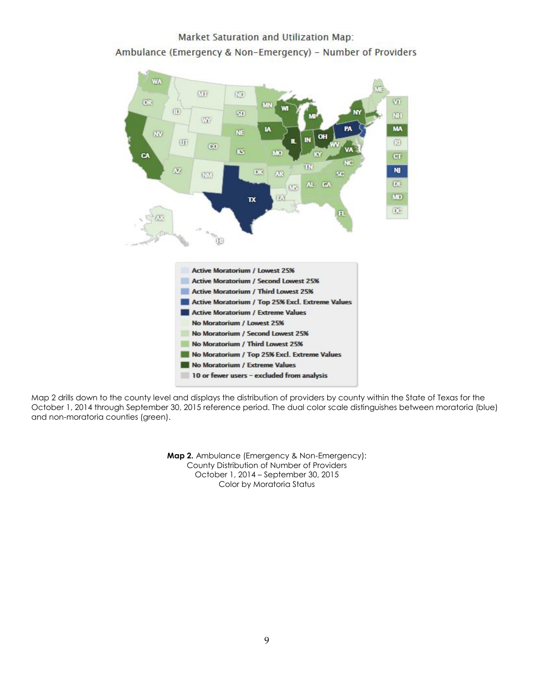### Market Saturation and Utilization Map:

### Ambulance (Emergency & Non-Emergency) - Number of Providers



Map 2 drills down to the county level and displays the distribution of providers by county within the State of Texas for the October 1, 2014 through September 30, 2015 reference period. The dual color scale distinguishes between moratoria (blue) and non-moratoria counties (green).

> **Map 2.** Ambulance (Emergency & Non-Emergency): County Distribution of Number of Providers October 1, 2014 – September 30, 2015 Color by Moratoria Status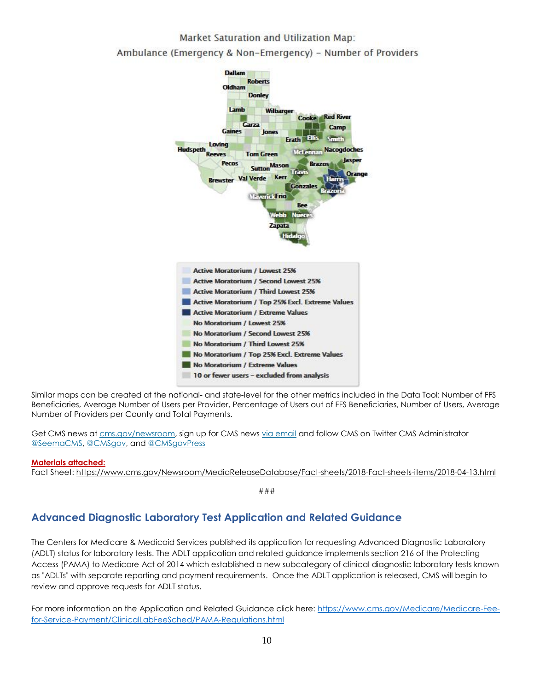### Market Saturation and Utilization Map: Ambulance (Emergency & Non-Emergency) - Number of Providers



Similar maps can be created at the national- and state-level for the other metrics included in the Data Tool: Number of FFS Beneficiaries, Average Number of Users per Provider, Percentage of Users out of FFS Beneficiaries, Number of Users, Average Number of Providers per County and Total Payments.

Get CMS news at [cms.gov/newsroom,](http://link.email.dynect.net/link.php?DynEngagement=true&H=WAA0HYy4enWklLGLVOCoftvRiKxkwcx7028A%2BNZlWSzSEaUD3cyAX035GTwXuYTIauLFIZXoS3kwpvvoEhi4Y8G%2BMFAtmw%2BMcqiFx87xKjXXSRsZegKbNrk%2F4QNWrY9H&G=0&R=https%3A%2F%2Fwww.cms.gov%2FNewsroom%2FNewsroom-Center.html&I=20171205171349.00000283d350%40mail6-33-usnbn1&X=MHwxMDQ2NzU4OjVhMjZkM2FjZGNhM2QwMGY5NmZmNjA2Mjs%3D&S=F4PFefpCWAIXfcE1-foA4aF3Z5qzU2JMir53nncUzAk) sign up for CMS news [via email](http://link.email.dynect.net/link.php?DynEngagement=true&H=WAA0HYy4enWklLGLVOCoftvRiKxkwcx7028A%2BNZlWSzSEaUD3cyAX035GTwXuYTIauLFIZXoS3kwpvvoEhi4Y8G%2BMFAtmw%2BMcqiFx87xKjXXSRsZegKbNrk%2F4QNWrY9H&G=0&R=https%3A%2F%2Fpublic.govdelivery.com%2Faccounts%2FUSCMS%2Fsubscriber%2Fnew%3Ftopic_id%3DUSCMS_610&I=20171205171349.00000283d350%40mail6-33-usnbn1&X=MHwxMDQ2NzU4OjVhMjZkM2FjZGNhM2QwMGY5NmZmNjA2Mjs%3D&S=yKSYEB9wWjKz90OM4j3cpWtIMUGdYgLHhDQ4a8cDXTM) and follow CMS on Twitter CMS Administrator [@SeemaCMS,](http://link.email.dynect.net/link.php?DynEngagement=true&H=WAA0HYy4enWklLGLVOCoftvRiKxkwcx7028A%2BNZlWSzSEaUD3cyAX035GTwXuYTIauLFIZXoS3kwpvvoEhi4Y8G%2BMFAtmw%2BMcqiFx87xKjXXSRsZegKbNrk%2F4QNWrY9H&G=0&R=https%3A%2F%2Ftwitter.com%2FSeemaCMS&I=20171205171349.00000283d350%40mail6-33-usnbn1&X=MHwxMDQ2NzU4OjVhMjZkM2FjZGNhM2QwMGY5NmZmNjA2Mjs%3D&S=zqzb0faQbpqh0QeB4jgbkvrHpo1lKwIvgbeHLemadeg) [@CMSgov,](http://link.email.dynect.net/link.php?DynEngagement=true&H=WAA0HYy4enWklLGLVOCoftvRiKxkwcx7028A%2BNZlWSzSEaUD3cyAX035GTwXuYTIauLFIZXoS3kwpvvoEhi4Y8G%2BMFAtmw%2BMcqiFx87xKjXXSRsZegKbNrk%2F4QNWrY9H&G=0&R=https%3A%2F%2Ftwitter.com%2FCMSGov&I=20171205171349.00000283d350%40mail6-33-usnbn1&X=MHwxMDQ2NzU4OjVhMjZkM2FjZGNhM2QwMGY5NmZmNjA2Mjs%3D&S=QzuR5f2SC_PCPUiFWOvDtEQwzu5IQetkxhE4vLzn2xo) an[d @CMSgovPress](http://link.email.dynect.net/link.php?DynEngagement=true&H=WAA0HYy4enWklLGLVOCoftvRiKxkwcx7028A%2BNZlWSzSEaUD3cyAX035GTwXuYTIauLFIZXoS3kwpvvoEhi4Y8G%2BMFAtmw%2BMcqiFx87xKjXXSRsZegKbNrk%2F4QNWrY9H&G=0&R=https%3A%2F%2Ftwitter.com%2FCMSgovPress&I=20171205171349.00000283d350%40mail6-33-usnbn1&X=MHwxMDQ2NzU4OjVhMjZkM2FjZGNhM2QwMGY5NmZmNjA2Mjs%3D&S=2R-qw_w19tK77iuLQVU8W0fsDsrt6mOScQDOCnnUrE0)

### **Materials attached:**

Fact Sheet: <https://www.cms.gov/Newsroom/MediaReleaseDatabase/Fact-sheets/2018-Fact-sheets-items/2018-04-13.html>

###

### <span id="page-9-0"></span>**Advanced Diagnostic Laboratory Test Application and Related Guidance**

The Centers for Medicare & Medicaid Services published its application for requesting Advanced Diagnostic Laboratory (ADLT) status for laboratory tests. The ADLT application and related guidance implements section 216 of the Protecting Access (PAMA) to Medicare Act of 2014 which established a new subcategory of clinical diagnostic laboratory tests known as "ADLTs" with separate reporting and payment requirements. Once the ADLT application is released, CMS will begin to review and approve requests for ADLT status.

For more information on the Application and Related Guidance click here: [https://www.cms.gov/Medicare/Medicare-Fee](https://www.cms.gov/Medicare/Medicare-Fee-for-Service-Payment/ClinicalLabFeeSched/PAMA-Regulations.html)[for-Service-Payment/ClinicalLabFeeSched/PAMA-Regulations.html](https://www.cms.gov/Medicare/Medicare-Fee-for-Service-Payment/ClinicalLabFeeSched/PAMA-Regulations.html)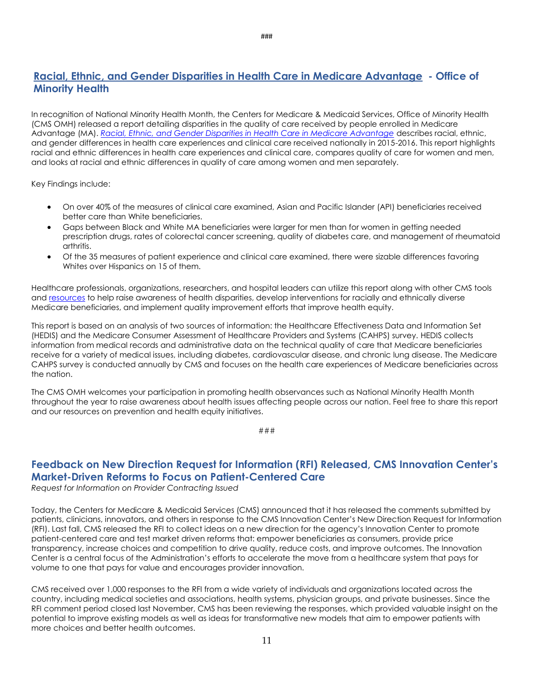### <span id="page-10-0"></span>**[Racial, Ethnic, and Gender Disparities in Health Care in Medicare Advantage](http://links.govdelivery.com/track?type=click&enid=ZWFzPTEmbXNpZD0mYXVpZD0mbWFpbGluZ2lkPTIwMTgwNDEwLjg4MTcyMDgxJm1lc3NhZ2VpZD1NREItUFJELUJVTC0yMDE4MDQxMC44ODE3MjA4MSZkYXRhYmFzZWlkPTEwMDEmc2VyaWFsPTE4Mjg3MzE1JmVtYWlsaWQ9bWFyaWx5bi5tYXVsdHNieUBjbXMuaGhzLmdvdiZ1c2VyaWQ9bWFyaWx5bi5tYXVsdHNieUBjbXMuaGhzLmdvdiZ0YXJnZXRpZD0mZmw9JmV4dHJhPU11bHRpdmFyaWF0ZUlkPSYmJg==&&&100&&&https://www.cms.gov/About-CMS/Agency-Information/OMH/research-and-data/statistics-and-data/stratified-reporting.html) - Office of Minority Health**

In recognition of National Minority Health Month, the Centers for Medicare & Medicaid Services, Office of Minority Health (CMS OMH) released a report detailing disparities in the quality of care received by people enrolled in Medicare Advantage (MA). *[Racial, Ethnic, and Gender Disparities in Health Care in Medicare Advantage](http://links.govdelivery.com/track?type=click&enid=ZWFzPTEmbXNpZD0mYXVpZD0mbWFpbGluZ2lkPTIwMTgwNDEwLjg4MTcyMDgxJm1lc3NhZ2VpZD1NREItUFJELUJVTC0yMDE4MDQxMC44ODE3MjA4MSZkYXRhYmFzZWlkPTEwMDEmc2VyaWFsPTE4Mjg3MzE1JmVtYWlsaWQ9bWFyaWx5bi5tYXVsdHNieUBjbXMuaGhzLmdvdiZ1c2VyaWQ9bWFyaWx5bi5tYXVsdHNieUBjbXMuaGhzLmdvdiZ0YXJnZXRpZD0mZmw9JmV4dHJhPU11bHRpdmFyaWF0ZUlkPSYmJg==&&&100&&&https://www.cms.gov/About-CMS/Agency-Information/OMH/research-and-data/statistics-and-data/stratified-reporting.html)* describes racial, ethnic, and gender differences in health care experiences and clinical care received nationally in 2015-2016. This report highlights racial and ethnic differences in health care experiences and clinical care, compares quality of care for women and men, and looks at racial and ethnic differences in quality of care among women and men separately.

Key Findings include:

- On over 40% of the measures of clinical care examined, Asian and Pacific Islander (API) beneficiaries received better care than White beneficiaries.
- Gaps between Black and White MA beneficiaries were larger for men than for women in getting needed prescription drugs, rates of colorectal cancer screening, quality of diabetes care, and management of rheumatoid arthritis.
- Of the 35 measures of patient experience and clinical care examined, there were sizable differences favoring Whites over Hispanics on 15 of them.

Healthcare professionals, organizations, researchers, and hospital leaders can utilize this report along with other CMS tools and [resources](http://links.govdelivery.com/track?type=click&enid=ZWFzPTEmbXNpZD0mYXVpZD0mbWFpbGluZ2lkPTIwMTgwNDEwLjg4MTcyMDgxJm1lc3NhZ2VpZD1NREItUFJELUJVTC0yMDE4MDQxMC44ODE3MjA4MSZkYXRhYmFzZWlkPTEwMDEmc2VyaWFsPTE4Mjg3MzE1JmVtYWlsaWQ9bWFyaWx5bi5tYXVsdHNieUBjbXMuaGhzLmdvdiZ1c2VyaWQ9bWFyaWx5bi5tYXVsdHNieUBjbXMuaGhzLmdvdiZ0YXJnZXRpZD0mZmw9JmV4dHJhPU11bHRpdmFyaWF0ZUlkPSYmJg==&&&101&&&https://www.cms.gov/About-CMS/Agency-Information/OMH/resource-center/index.html) to help raise awareness of health disparities, develop interventions for racially and ethnically diverse Medicare beneficiaries, and implement quality improvement efforts that improve health equity.

This report is based on an analysis of two sources of information: the Healthcare Effectiveness Data and Information Set (HEDIS) and the Medicare Consumer Assessment of Healthcare Providers and Systems (CAHPS) survey. HEDIS collects information from medical records and administrative data on the technical quality of care that Medicare beneficiaries receive for a variety of medical issues, including diabetes, cardiovascular disease, and chronic lung disease. The Medicare CAHPS survey is conducted annually by CMS and focuses on the health care experiences of Medicare beneficiaries across the nation.

The CMS OMH welcomes your participation in promoting health observances such as National Minority Health Month throughout the year to raise awareness about health issues affecting people across our nation. Feel free to share this report and our resources on prevention and health equity initiatives.

###

### **Feedback on New Direction Request for Information (RFI) Released, CMS Innovation Center's Market-Driven Reforms to Focus on Patient-Centered Care**

*Request for Information on Provider Contracting Issued*

Today, the Centers for Medicare & Medicaid Services (CMS) announced that it has released the comments submitted by patients, clinicians, innovators, and others in response to the CMS Innovation Center's New Direction Request for Information (RFI). Last fall, CMS released the RFI to collect ideas on a new direction for the agency's Innovation Center to promote patient-centered care and test market driven reforms that: empower beneficiaries as consumers, provide price transparency, increase choices and competition to drive quality, reduce costs, and improve outcomes. The Innovation Center is a central focus of the Administration's efforts to accelerate the move from a healthcare system that pays for volume to one that pays for value and encourages provider innovation.

CMS received over 1,000 responses to the RFI from a wide variety of individuals and organizations located across the country, including medical societies and associations, health systems, physician groups, and private businesses. Since the RFI comment period closed last November, CMS has been reviewing the responses, which provided valuable insight on the potential to improve existing models as well as ideas for transformative new models that aim to empower patients with more choices and better health outcomes.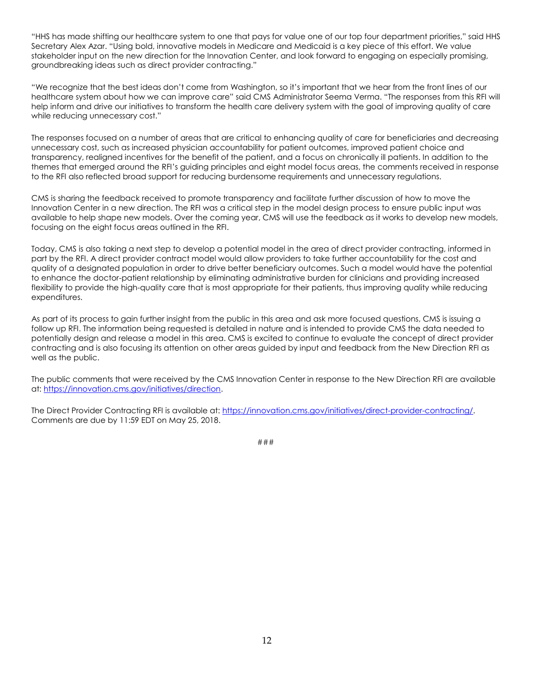"HHS has made shifting our healthcare system to one that pays for value one of our top four department priorities," said HHS Secretary Alex Azar. "Using bold, innovative models in Medicare and Medicaid is a key piece of this effort. We value stakeholder input on the new direction for the Innovation Center, and look forward to engaging on especially promising, groundbreaking ideas such as direct provider contracting."

"We recognize that the best ideas don't come from Washington, so it's important that we hear from the front lines of our healthcare system about how we can improve care" said CMS Administrator Seema Verma. "The responses from this RFI will help inform and drive our initiatives to transform the health care delivery system with the goal of improving quality of care while reducing unnecessary cost."

The responses focused on a number of areas that are critical to enhancing quality of care for beneficiaries and decreasing unnecessary cost, such as increased physician accountability for patient outcomes, improved patient choice and transparency, realigned incentives for the benefit of the patient, and a focus on chronically ill patients. In addition to the themes that emerged around the RFI's guiding principles and eight model focus areas, the comments received in response to the RFI also reflected broad support for reducing burdensome requirements and unnecessary regulations.

CMS is sharing the feedback received to promote transparency and facilitate further discussion of how to move the Innovation Center in a new direction. The RFI was a critical step in the model design process to ensure public input was available to help shape new models. Over the coming year, CMS will use the feedback as it works to develop new models, focusing on the eight focus areas outlined in the RFI.

Today, CMS is also taking a next step to develop a potential model in the area of direct provider contracting, informed in part by the RFI. A direct provider contract model would allow providers to take further accountability for the cost and quality of a designated population in order to drive better beneficiary outcomes. Such a model would have the potential to enhance the doctor-patient relationship by eliminating administrative burden for clinicians and providing increased flexibility to provide the high-quality care that is most appropriate for their patients, thus improving quality while reducing expenditures.

As part of its process to gain further insight from the public in this area and ask more focused questions, CMS is issuing a follow up RFI. The information being requested is detailed in nature and is intended to provide CMS the data needed to potentially design and release a model in this area. CMS is excited to continue to evaluate the concept of direct provider contracting and is also focusing its attention on other areas guided by input and feedback from the New Direction RFI as well as the public.

The public comments that were received by the CMS Innovation Center in response to the New Direction RFI are available at: [https://innovation.cms.gov/initiatives/direction.](http://links.govdelivery.com/track?type=click&enid=ZWFzPTEmbXNpZD0mYXVpZD0mbWFpbGluZ2lkPTIwMTgwNDIzLjg4ODI4NTcxJm1lc3NhZ2VpZD1NREItUFJELUJVTC0yMDE4MDQyMy44ODgyODU3MSZkYXRhYmFzZWlkPTEwMDEmc2VyaWFsPTE4Mjk4ODQ0JmVtYWlsaWQ9bG9yZWxlaS5zY2hpZWZlcmRlY2tlckBjbXMuaGhzLmdvdiZ1c2VyaWQ9bG9yZWxlaS5zY2hpZWZlcmRlY2tlckBjbXMuaGhzLmdvdiZ0YXJnZXRpZD0mZmw9JmV4dHJhPU11bHRpdmFyaWF0ZUlkPSYmJg==&&&101&&&https://innovation.cms.gov/initiatives/direction)

The Direct Provider Contracting RFI is available at: https://innovation.cms.gov/initiatives/direct-provider-contractina/. Comments are due by 11:59 EDT on May 25, 2018.

###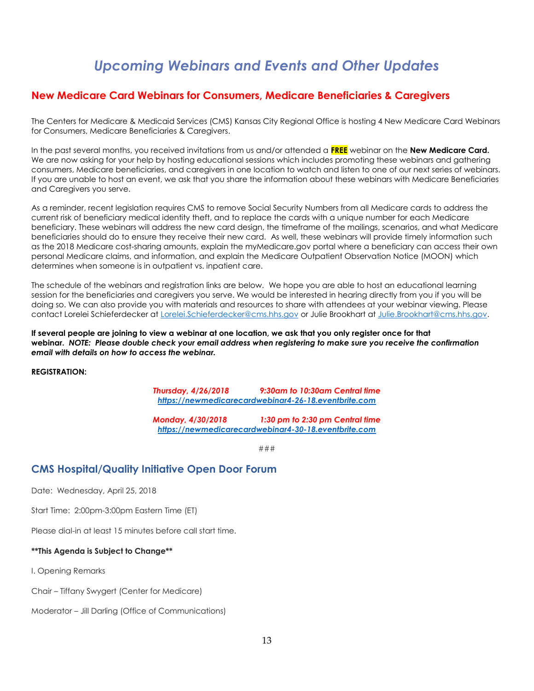## *Upcoming Webinars and Events and Other Updates*

### <span id="page-12-1"></span><span id="page-12-0"></span>**New Medicare Card Webinars for Consumers, Medicare Beneficiaries & Caregivers**

The Centers for Medicare & Medicaid Services (CMS) Kansas City Regional Office is hosting 4 New Medicare Card Webinars for Consumers, Medicare Beneficiaries & Caregivers.

In the past several months, you received invitations from us and/or attended a **FREE** webinar on the **New Medicare Card.**  We are now asking for your help by hosting educational sessions which includes promoting these webinars and gathering consumers, Medicare beneficiaries, and caregivers in one location to watch and listen to one of our next series of webinars. If you are unable to host an event, we ask that you share the information about these webinars with Medicare Beneficiaries and Caregivers you serve.

As a reminder, recent legislation requires CMS to remove Social Security Numbers from all Medicare cards to address the current risk of beneficiary medical identity theft, and to replace the cards with a unique number for each Medicare beneficiary. These webinars will address the new card design, the timeframe of the mailings, scenarios, and what Medicare beneficiaries should do to ensure they receive their new card. As well, these webinars will provide timely information such as the 2018 Medicare cost-sharing amounts, explain the myMedicare.gov portal where a beneficiary can access their own personal Medicare claims, and information, and explain th[e Medicare Outpatient Observation Notice \(MOON\)](https://www.cms.gov/Newsroom/MediaReleaseDatabase/Fact-sheets/2016-Fact-sheets-items/2016-12-08-3.html) which determines when someone is in outpatient vs. inpatient care.

The schedule of the webinars and registration links are below. We hope you are able to host an educational learning session for the beneficiaries and caregivers you serve. We would be interested in hearing directly from you if you will be doing so. We can also provide you with materials and resources to share with attendees at your webinar viewing. Please contact Lorelei Schieferdecker at [Lorelei.Schieferdecker@cms.hhs.gov](mailto:Lorelei.Schieferdecker@cms.hhs.gov) or Julie Brookhart a[t Julie.Brookhart@cms.hhs.gov.](mailto:Julie.Brookhart@cms.hhs.gov)

**If several people are joining to view a webinar at one location, we ask that you only register once for that webinar.** *NOTE: Please double check your email address when registering to make sure you receive the confirmation email with details on how to access the webinar.*

#### **REGISTRATION:**

*Thursday, 4/26/2018 9:30am to 10:30am Central time [https://newmedicarecardwebinar4-26-18.eventbrite.com](https://newmedicarecardwebinar4-26-18.eventbrite.com/)*

*Monday, 4/30/2018 1:30 pm to 2:30 pm Central time [https://newmedicarecardwebinar4-30-18.eventbrite.com](https://newmedicarecardwebinar4-30-18.eventbrite.com/)*

###

### <span id="page-12-2"></span>**CMS Hospital/Quality Initiative Open Door Forum**

Date: Wednesday, April 25, 2018

Start Time: 2:00pm-3:00pm Eastern Time (ET)

Please dial-in at least 15 minutes before call start time.

### **\*\*This Agenda is Subject to Change\*\***

I. Opening Remarks

Chair – Tiffany Swygert (Center for Medicare)

Moderator – Jill Darling (Office of Communications)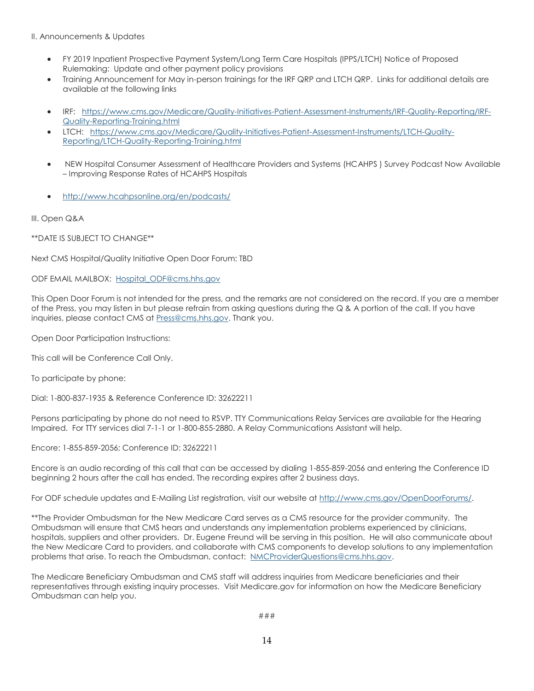### II. Announcements & Updates

- FY 2019 Inpatient Prospective Payment System/Long Term Care Hospitals (IPPS/LTCH) Notice of Proposed Rulemaking: Update and other payment policy provisions
- Training Announcement for May in-person trainings for the IRF QRP and LTCH QRP. Links for additional details are available at the following links
- IRF: [https://www.cms.gov/Medicare/Quality-Initiatives-Patient-Assessment-Instruments/IRF-Quality-Reporting/IRF-](http://links.govdelivery.com/track?type=click&enid=ZWFzPTEmbXNpZD0mYXVpZD0mbWFpbGluZ2lkPTIwMTgwNDIwLjg4NzQzMjAxJm1lc3NhZ2VpZD1NREItUFJELUJVTC0yMDE4MDQyMC44ODc0MzIwMSZkYXRhYmFzZWlkPTEwMDEmc2VyaWFsPTE4Mjk3MzQzJmVtYWlsaWQ9bG9yZWxlaS5zY2hpZWZlcmRlY2tlckBjbXMuaGhzLmdvdiZ1c2VyaWQ9bG9yZWxlaS5zY2hpZWZlcmRlY2tlckBjbXMuaGhzLmdvdiZ0YXJnZXRpZD0mZmw9JmV4dHJhPU11bHRpdmFyaWF0ZUlkPSYmJg==&&&100&&&https://www.cms.gov/Medicare/Quality-Initiatives-Patient-Assessment-Instruments/IRF-Quality-Reporting/IRF-Quality-Reporting-Training.html)[Quality-Reporting-Training.html](http://links.govdelivery.com/track?type=click&enid=ZWFzPTEmbXNpZD0mYXVpZD0mbWFpbGluZ2lkPTIwMTgwNDIwLjg4NzQzMjAxJm1lc3NhZ2VpZD1NREItUFJELUJVTC0yMDE4MDQyMC44ODc0MzIwMSZkYXRhYmFzZWlkPTEwMDEmc2VyaWFsPTE4Mjk3MzQzJmVtYWlsaWQ9bG9yZWxlaS5zY2hpZWZlcmRlY2tlckBjbXMuaGhzLmdvdiZ1c2VyaWQ9bG9yZWxlaS5zY2hpZWZlcmRlY2tlckBjbXMuaGhzLmdvdiZ0YXJnZXRpZD0mZmw9JmV4dHJhPU11bHRpdmFyaWF0ZUlkPSYmJg==&&&100&&&https://www.cms.gov/Medicare/Quality-Initiatives-Patient-Assessment-Instruments/IRF-Quality-Reporting/IRF-Quality-Reporting-Training.html)
- LTCH: [https://www.cms.gov/Medicare/Quality-Initiatives-Patient-Assessment-Instruments/LTCH-Quality-](http://links.govdelivery.com/track?type=click&enid=ZWFzPTEmbXNpZD0mYXVpZD0mbWFpbGluZ2lkPTIwMTgwNDIwLjg4NzQzMjAxJm1lc3NhZ2VpZD1NREItUFJELUJVTC0yMDE4MDQyMC44ODc0MzIwMSZkYXRhYmFzZWlkPTEwMDEmc2VyaWFsPTE4Mjk3MzQzJmVtYWlsaWQ9bG9yZWxlaS5zY2hpZWZlcmRlY2tlckBjbXMuaGhzLmdvdiZ1c2VyaWQ9bG9yZWxlaS5zY2hpZWZlcmRlY2tlckBjbXMuaGhzLmdvdiZ0YXJnZXRpZD0mZmw9JmV4dHJhPU11bHRpdmFyaWF0ZUlkPSYmJg==&&&101&&&https://www.cms.gov/Medicare/Quality-Initiatives-Patient-Assessment-Instruments/LTCH-Quality-Reporting/LTCH-Quality-Reporting-Training.html)[Reporting/LTCH-Quality-Reporting-Training.html](http://links.govdelivery.com/track?type=click&enid=ZWFzPTEmbXNpZD0mYXVpZD0mbWFpbGluZ2lkPTIwMTgwNDIwLjg4NzQzMjAxJm1lc3NhZ2VpZD1NREItUFJELUJVTC0yMDE4MDQyMC44ODc0MzIwMSZkYXRhYmFzZWlkPTEwMDEmc2VyaWFsPTE4Mjk3MzQzJmVtYWlsaWQ9bG9yZWxlaS5zY2hpZWZlcmRlY2tlckBjbXMuaGhzLmdvdiZ1c2VyaWQ9bG9yZWxlaS5zY2hpZWZlcmRlY2tlckBjbXMuaGhzLmdvdiZ0YXJnZXRpZD0mZmw9JmV4dHJhPU11bHRpdmFyaWF0ZUlkPSYmJg==&&&101&&&https://www.cms.gov/Medicare/Quality-Initiatives-Patient-Assessment-Instruments/LTCH-Quality-Reporting/LTCH-Quality-Reporting-Training.html)
- NEW Hospital Consumer Assessment of Healthcare Providers and Systems (HCAHPS ) Survey Podcast Now Available – Improving Response Rates of HCAHPS Hospitals
- [http://www.hcahpsonline.org/en/podcasts/](http://links.govdelivery.com/track?type=click&enid=ZWFzPTEmbXNpZD0mYXVpZD0mbWFpbGluZ2lkPTIwMTgwNDIwLjg4NzQzMjAxJm1lc3NhZ2VpZD1NREItUFJELUJVTC0yMDE4MDQyMC44ODc0MzIwMSZkYXRhYmFzZWlkPTEwMDEmc2VyaWFsPTE4Mjk3MzQzJmVtYWlsaWQ9bG9yZWxlaS5zY2hpZWZlcmRlY2tlckBjbXMuaGhzLmdvdiZ1c2VyaWQ9bG9yZWxlaS5zY2hpZWZlcmRlY2tlckBjbXMuaGhzLmdvdiZ0YXJnZXRpZD0mZmw9JmV4dHJhPU11bHRpdmFyaWF0ZUlkPSYmJg==&&&102&&&http://www.hcahpsonline.org/en/podcasts/)

### III. Open Q&A

\*\*DATE IS SUBJECT TO CHANGE\*\*

Next CMS Hospital/Quality Initiative Open Door Forum: TBD

#### ODF EMAIL MAILBOX: [Hospital\\_ODF@cms.hhs.gov](mailto:Hospital_ODF@cms.hhs.gov)

This Open Door Forum is not intended for the press, and the remarks are not considered on the record. If you are a member of the Press, you may listen in but please refrain from asking questions during the Q & A portion of the call. If you have inquiries, please contact CMS at [Press@cms.hhs.gov.](mailto:Press@cms.hhs.gov) Thank you.

Open Door Participation Instructions:

This call will be Conference Call Only.

To participate by phone:

Dial: 1-800-837-1935 & Reference Conference ID: 32622211

Persons participating by phone do not need to RSVP. TTY Communications Relay Services are available for the Hearing Impaired. For TTY services dial 7-1-1 or 1-800-855-2880. A Relay Communications Assistant will help.

Encore: 1-855-859-2056; Conference ID: 32622211

Encore is an audio recording of this call that can be accessed by dialing 1-855-859-2056 and entering the Conference ID beginning 2 hours after the call has ended. The recording expires after 2 business days.

For ODF schedule updates and E-Mailing List registration, visit our website at [http://www.cms.gov/OpenDoorForums/.](http://links.govdelivery.com/track?type=click&enid=ZWFzPTEmbXNpZD0mYXVpZD0mbWFpbGluZ2lkPTIwMTgwNDIwLjg4NzQzMjAxJm1lc3NhZ2VpZD1NREItUFJELUJVTC0yMDE4MDQyMC44ODc0MzIwMSZkYXRhYmFzZWlkPTEwMDEmc2VyaWFsPTE4Mjk3MzQzJmVtYWlsaWQ9bG9yZWxlaS5zY2hpZWZlcmRlY2tlckBjbXMuaGhzLmdvdiZ1c2VyaWQ9bG9yZWxlaS5zY2hpZWZlcmRlY2tlckBjbXMuaGhzLmdvdiZ0YXJnZXRpZD0mZmw9JmV4dHJhPU11bHRpdmFyaWF0ZUlkPSYmJg==&&&103&&&https://www.cms.gov/Outreach-and-Education/Outreach/OpenDoorForums/index.html?redirect=/OpenDoorForums/)

\*\*The Provider Ombudsman for the New Medicare Card serves as a CMS resource for the provider community. The Ombudsman will ensure that CMS hears and understands any implementation problems experienced by clinicians, hospitals, suppliers and other providers. Dr. Eugene Freund will be serving in this position. He will also communicate about the New Medicare Card to providers, and collaborate with CMS components to develop solutions to any implementation problems that arise. To reach the Ombudsman, contact: [NMCProviderQuestions@cms.hhs.gov.](mailto:NMCProviderQuestions@cms.hhs.gov)

The Medicare Beneficiary Ombudsman and CMS staff will address inquiries from Medicare beneficiaries and their representatives through existing inquiry processes. Visit Medicare.gov for information on how the Medicare Beneficiary Ombudsman can help you.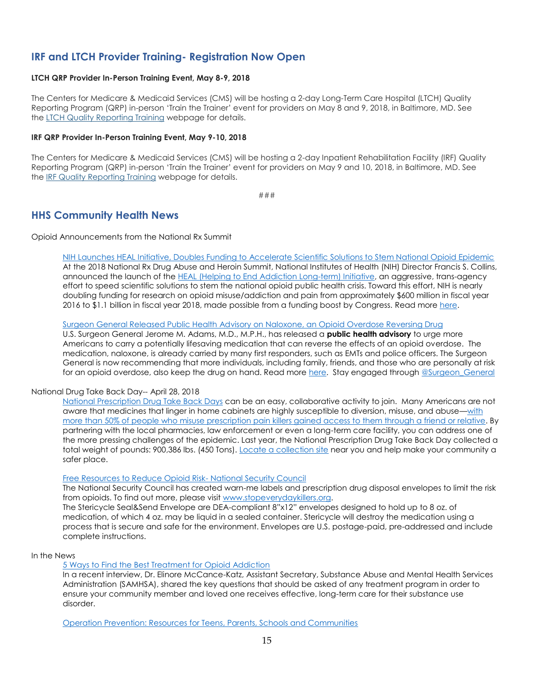### <span id="page-14-0"></span>**IRF and LTCH Provider Training- Registration Now Open**

#### **LTCH QRP Provider In-Person Training Event, May 8-9, 2018**

The Centers for Medicare & Medicaid Services (CMS) will be hosting a 2-day Long-Term Care Hospital (LTCH) Quality Reporting Program (QRP) in-person 'Train the Trainer' event for providers on May 8 and 9, 2018, in Baltimore, MD. See the [LTCH Quality Reporting Training](http://links.govdelivery.com/track?type=click&enid=ZWFzPTEmbXNpZD0mYXVpZD0mbWFpbGluZ2lkPTIwMTgwMzI3Ljg3NTk4NjAxJm1lc3NhZ2VpZD1NREItUFJELUJVTC0yMDE4MDMyNy44NzU5ODYwMSZkYXRhYmFzZWlkPTEwMDEmc2VyaWFsPTE4MjcyOTczJmVtYWlsaWQ9bG9yZWxlaS5zY2hpZWZlcmRlY2tlckBjbXMuaGhzLmdvdiZ1c2VyaWQ9bG9yZWxlaS5zY2hpZWZlcmRlY2tlckBjbXMuaGhzLmdvdiZ0YXJnZXRpZD0mZmw9JmV4dHJhPU11bHRpdmFyaWF0ZUlkPSYmJg==&&&100&&&https://www.cms.gov/Medicare/Quality-Initiatives-Patient-Assessment-Instruments/LTCH-Quality-Reporting/LTCH-Quality-Reporting-Training.html) webpage for details.

#### **IRF QRP Provider In-Person Training Event, May 9-10, 2018**

The Centers for Medicare & Medicaid Services (CMS) will be hosting a 2-day Inpatient Rehabilitation Facility (IRF) Quality Reporting Program (QRP) in-person 'Train the Trainer' event for providers on May 9 and 10, 2018, in Baltimore, MD. See the [IRF Quality Reporting Training](http://links.govdelivery.com/track?type=click&enid=ZWFzPTEmbXNpZD0mYXVpZD0mbWFpbGluZ2lkPTIwMTgwMzI3Ljg3NTk4NjAxJm1lc3NhZ2VpZD1NREItUFJELUJVTC0yMDE4MDMyNy44NzU5ODYwMSZkYXRhYmFzZWlkPTEwMDEmc2VyaWFsPTE4MjcyOTczJmVtYWlsaWQ9bG9yZWxlaS5zY2hpZWZlcmRlY2tlckBjbXMuaGhzLmdvdiZ1c2VyaWQ9bG9yZWxlaS5zY2hpZWZlcmRlY2tlckBjbXMuaGhzLmdvdiZ0YXJnZXRpZD0mZmw9JmV4dHJhPU11bHRpdmFyaWF0ZUlkPSYmJg==&&&101&&&https://www.cms.gov/Medicare/Quality-Initiatives-Patient-Assessment-Instruments/IRF-Quality-Reporting/IRF-Quality-Reporting-Training.html) webpage for details.

###

### <span id="page-14-1"></span>**HHS Community Health News**

Opioid Announcements from the National Rx Summit

[NIH Launches HEAL Initiative, Doubles Funding to Accelerate Scientific Solutions to Stem National Opioid Epidemic](https://www.nih.gov/heal-initiative) At the 2018 National Rx Drug Abuse and Heroin Summit, National Institutes of Health (NIH) Director Francis S. Collins, announced the launch of the [HEAL \(Helping to End Addiction Long-term\) Initiative,](https://www.nih.gov/heal-initiative) an aggressive, trans-agency effort to speed scientific solutions to stem the national opioid public health crisis. Toward this effort, NIH is nearly doubling funding for research on opioid misuse/addiction and pain from approximately \$600 million in fiscal year 2016 to \$1.1 billion in fiscal year 2018, made possible from a funding boost by Congress. Read more [here.](https://www.nih.gov/heal-initiative)

#### [Surgeon General Released Public Health Advisory on Naloxone, an Opioid Overdose Reversing Drug](https://www.hhs.gov/about/news/2018/04/05/surgeon-general-releases-advisory-on-naloxone-an-opioid-overdose-reversing-drug.html)

U.S. Surgeon General Jerome M. Adams, M.D., M.P.H., has released a **public health advisory** to urge more Americans to carry a potentially lifesaving medication that can reverse the effects of an opioid overdose. The medication, naloxone, is already carried by many first responders, such as EMTs and police officers. The Surgeon General is now recommending that more individuals, including family, friends, and those who are personally at risk for an opioid overdose, also keep the drug on hand. Read more [here.](https://www.hhs.gov/about/news/2018/04/05/surgeon-general-releases-advisory-on-naloxone-an-opioid-overdose-reversing-drug.html) Stay engaged through @Surgeon General

#### National Drug Take Back Day-- April 28, 2018

[National Prescription Drug Take Back Days](https://www.deadiversion.usdoj.gov/drug_disposal/takeback/) can be an easy, collaborative activity to join. Many Americans are not aware that medicines that linger in home cabinets are highly susceptible to diversion, misuse, and abuse—with [more than 50% of people who misuse prescription pain killers gained access to them through a friend or relative.](https://www.samhsa.gov/atod/opioids) By partnering with the local pharmacies, law enforcement or even a long-term care facility, you can address one of the more pressing challenges of the epidemic. Last year, the National Prescription Drug Take Back Day collected a total weight of pounds: 900,386 lbs. (450 Tons). [Locate a collection site](https://apps.deadiversion.usdoj.gov/NTBI/NTBI-PUB.pub?_flowExecutionKey=_cDB7E2CF2-7F14-7021-FC27-10013DFC05DF_k859124E6-4CEE-FCBF-B156-E762044B2C77) near you and help make your community a safer place.

#### [Free Resources to Reduce Opioid Risk-](http://safety.nsc.org/stop-everyday-killers-supplies) National Security Council

The National Security Council has created warn-me labels and prescription drug disposal envelopes to limit the risk from opioids. To find out more, please visit [www.stopeverydaykillers.org.](http://www.stopeverydaykillers.org/)

The Stericycle Seal&Send Envelope are DEA-compliant 8"x12" envelopes designed to hold up to 8 oz. of medication, of which 4 oz. may be liquid in a sealed container. Stericycle will destroy the medication using a process that is secure and safe for the environment. Envelopes are U.S. postage-paid, pre-addressed and include complete instructions.

#### In the News

[5 Ways to Find the Best Treatment for Opioid Addiction](http://www.futureofpersonalhealth.com/prevention-and-treatment/5-ways-to-find-the-best-treatment-for-opioid-addiction)

In a recent interview, Dr. Elinore McCance-Katz, Assistant Secretary, Substance Abuse and Mental Health Services Administration (SAMHSA), shared the key questions that should be asked of any treatment program in order to ensure your community member and loved one receives effective, long-term care for their substance use disorder.

[Operation Prevention: Resources for Teens, Parents, Schools and Communities](https://www.operationprevention.com/)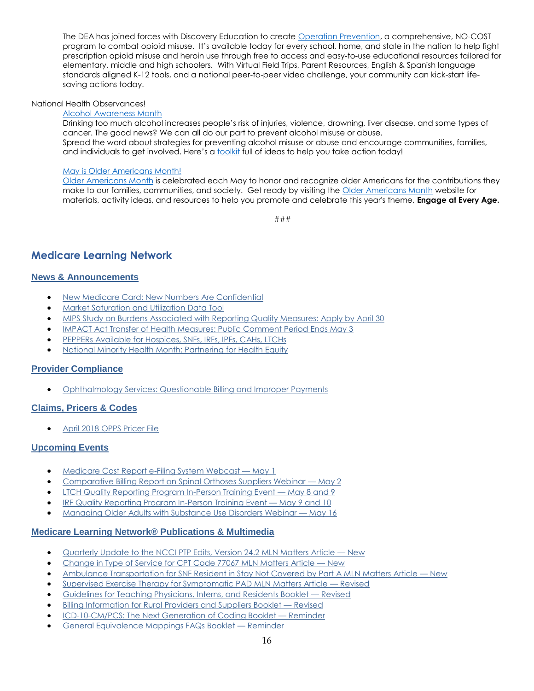The DEA has joined forces with Discovery Education to create [Operation Prevention,](https://www.operationprevention.com/) a comprehensive, NO-COST program to combat opioid misuse. It's available today for every school, home, and state in the nation to help fight prescription opioid misuse and heroin use through free to access and easy-to-use educational resources tailored for elementary, middle and high schoolers. With Virtual Field Trips, Parent Resources, English & Spanish language standards aligned K-12 tools, and a national peer-to-peer video challenge, your community can kick-start lifesaving actions today.

#### National Health Observances!

#### [Alcohol Awareness Month](https://healthfinder.gov/NHO/AprilToolkit.aspx)

Drinking too much alcohol increases people's risk of injuries, violence, drowning, liver disease, and some types of cancer. The good news? We can all do our part to prevent alcohol misuse or abuse. Spread the word about strategies for preventing alcohol misuse or abuse and encourage communities, families, and individuals to get involved. Here's a [toolkit](https://healthfinder.gov/NHO/AprilToolkit.aspx) full of ideas to help you take action today!

#### [May is Older Americans Month!](https://oam.acl.gov/)

[Older Americans Month](https://oam.acl.gov/) is celebrated each May to honor and recognize older Americans for the contributions they make to our families, communities, and society. Get ready by visiting th[e Older Americans Month](https://oam.acl.gov/) website for materials, activity ideas, and resources to help you promote and celebrate this year's theme, **Engage at Every Age.**

###

### <span id="page-15-0"></span>**Medicare Learning Network**

### **[News & Announcements](http://links.govdelivery.com/track?type=click&enid=ZWFzPTEmbXNpZD0mYXVpZD0mbWFpbGluZ2lkPTIwMTgwNDA1Ljg3OTcxNDgxJm1lc3NhZ2VpZD1NREItUFJELUJVTC0yMDE4MDQwNS44Nzk3MTQ4MSZkYXRhYmFzZWlkPTEwMDEmc2VyaWFsPTE4MjgyMjM0JmVtYWlsaWQ9bG9yZWxlaS5zY2hpZWZlcmRlY2tlckBjbXMuaGhzLmdvdiZ1c2VyaWQ9bG9yZWxlaS5zY2hpZWZlcmRlY2tlckBjbXMuaGhzLmdvdiZ0YXJnZXRpZD0mZmw9JmV4dHJhPU11bHRpdmFyaWF0ZUlkPSYmJg==&&&101&&&https://www.cms.gov/Outreach-and-Education/Outreach/FFSProvPartProg/Provider-Partnership-Email-Archive-Items/2018-04-05-eNews.html?DLPage=1&DLEntries=10&DLSort=0&DLSortDir=descending#_Toc510531371)**

- [New Medicare Card: New Numbers Are Confidential](http://links.govdelivery.com/track?type=click&enid=ZWFzPTEmbXNpZD0mYXVpZD0mbWFpbGluZ2lkPTIwMTgwNDE5Ljg4Njc0NTIxJm1lc3NhZ2VpZD1NREItUFJELUJVTC0yMDE4MDQxOS44ODY3NDUyMSZkYXRhYmFzZWlkPTEwMDEmc2VyaWFsPTE4Mjk2NDM0JmVtYWlsaWQ9bG9yZWxlaS5zY2hpZWZlcmRlY2tlckBjbXMuaGhzLmdvdiZ1c2VyaWQ9bG9yZWxlaS5zY2hpZWZlcmRlY2tlckBjbXMuaGhzLmdvdiZ0YXJnZXRpZD0mZmw9JmV4dHJhPU11bHRpdmFyaWF0ZUlkPSYmJg==&&&102&&&https://www.cms.gov/Outreach-and-Education/Outreach/FFSProvPartProg/Provider-Partnership-Email-Archive-Items/2018-04-19-eNews.html?DLPage=1&DLEntries=10&DLSort=0&DLSortDir=descending#_Toc511711028)
- [Market Saturation and Utilization Data Tool](http://links.govdelivery.com/track?type=click&enid=ZWFzPTEmbXNpZD0mYXVpZD0mbWFpbGluZ2lkPTIwMTgwNDE5Ljg4Njc0NTIxJm1lc3NhZ2VpZD1NREItUFJELUJVTC0yMDE4MDQxOS44ODY3NDUyMSZkYXRhYmFzZWlkPTEwMDEmc2VyaWFsPTE4Mjk2NDM0JmVtYWlsaWQ9bG9yZWxlaS5zY2hpZWZlcmRlY2tlckBjbXMuaGhzLmdvdiZ1c2VyaWQ9bG9yZWxlaS5zY2hpZWZlcmRlY2tlckBjbXMuaGhzLmdvdiZ0YXJnZXRpZD0mZmw9JmV4dHJhPU11bHRpdmFyaWF0ZUlkPSYmJg==&&&103&&&https://www.cms.gov/Outreach-and-Education/Outreach/FFSProvPartProg/Provider-Partnership-Email-Archive-Items/2018-04-19-eNews.html?DLPage=1&DLEntries=10&DLSort=0&DLSortDir=descending#_Toc511711029)
- [MIPS Study on Burdens Associated with Reporting Quality Measures: Apply by April 30](http://links.govdelivery.com/track?type=click&enid=ZWFzPTEmbXNpZD0mYXVpZD0mbWFpbGluZ2lkPTIwMTgwNDE5Ljg4Njc0NTIxJm1lc3NhZ2VpZD1NREItUFJELUJVTC0yMDE4MDQxOS44ODY3NDUyMSZkYXRhYmFzZWlkPTEwMDEmc2VyaWFsPTE4Mjk2NDM0JmVtYWlsaWQ9bG9yZWxlaS5zY2hpZWZlcmRlY2tlckBjbXMuaGhzLmdvdiZ1c2VyaWQ9bG9yZWxlaS5zY2hpZWZlcmRlY2tlckBjbXMuaGhzLmdvdiZ0YXJnZXRpZD0mZmw9JmV4dHJhPU11bHRpdmFyaWF0ZUlkPSYmJg==&&&104&&&https://www.cms.gov/Outreach-and-Education/Outreach/FFSProvPartProg/Provider-Partnership-Email-Archive-Items/2018-04-19-eNews.html?DLPage=1&DLEntries=10&DLSort=0&DLSortDir=descending#_Toc511711030)
- [IMPACT Act Transfer of Health Measures: Public Comment Period Ends May 3](http://links.govdelivery.com/track?type=click&enid=ZWFzPTEmbXNpZD0mYXVpZD0mbWFpbGluZ2lkPTIwMTgwNDE5Ljg4Njc0NTIxJm1lc3NhZ2VpZD1NREItUFJELUJVTC0yMDE4MDQxOS44ODY3NDUyMSZkYXRhYmFzZWlkPTEwMDEmc2VyaWFsPTE4Mjk2NDM0JmVtYWlsaWQ9bG9yZWxlaS5zY2hpZWZlcmRlY2tlckBjbXMuaGhzLmdvdiZ1c2VyaWQ9bG9yZWxlaS5zY2hpZWZlcmRlY2tlckBjbXMuaGhzLmdvdiZ0YXJnZXRpZD0mZmw9JmV4dHJhPU11bHRpdmFyaWF0ZUlkPSYmJg==&&&105&&&https://www.cms.gov/Outreach-and-Education/Outreach/FFSProvPartProg/Provider-Partnership-Email-Archive-Items/2018-04-19-eNews.html?DLPage=1&DLEntries=10&DLSort=0&DLSortDir=descending#_Toc511711031)
- [PEPPERs Available for Hospices, SNFs, IRFs, IPFs, CAHs, LTCHs](http://links.govdelivery.com/track?type=click&enid=ZWFzPTEmbXNpZD0mYXVpZD0mbWFpbGluZ2lkPTIwMTgwNDE5Ljg4Njc0NTIxJm1lc3NhZ2VpZD1NREItUFJELUJVTC0yMDE4MDQxOS44ODY3NDUyMSZkYXRhYmFzZWlkPTEwMDEmc2VyaWFsPTE4Mjk2NDM0JmVtYWlsaWQ9bG9yZWxlaS5zY2hpZWZlcmRlY2tlckBjbXMuaGhzLmdvdiZ1c2VyaWQ9bG9yZWxlaS5zY2hpZWZlcmRlY2tlckBjbXMuaGhzLmdvdiZ0YXJnZXRpZD0mZmw9JmV4dHJhPU11bHRpdmFyaWF0ZUlkPSYmJg==&&&106&&&https://www.cms.gov/Outreach-and-Education/Outreach/FFSProvPartProg/Provider-Partnership-Email-Archive-Items/2018-04-19-eNews.html?DLPage=1&DLEntries=10&DLSort=0&DLSortDir=descending#_Toc511711032)
- [National Minority Health Month: Partnering](http://links.govdelivery.com/track?type=click&enid=ZWFzPTEmbXNpZD0mYXVpZD0mbWFpbGluZ2lkPTIwMTgwNDE5Ljg4Njc0NTIxJm1lc3NhZ2VpZD1NREItUFJELUJVTC0yMDE4MDQxOS44ODY3NDUyMSZkYXRhYmFzZWlkPTEwMDEmc2VyaWFsPTE4Mjk2NDM0JmVtYWlsaWQ9bG9yZWxlaS5zY2hpZWZlcmRlY2tlckBjbXMuaGhzLmdvdiZ1c2VyaWQ9bG9yZWxlaS5zY2hpZWZlcmRlY2tlckBjbXMuaGhzLmdvdiZ0YXJnZXRpZD0mZmw9JmV4dHJhPU11bHRpdmFyaWF0ZUlkPSYmJg==&&&107&&&https://www.cms.gov/Outreach-and-Education/Outreach/FFSProvPartProg/Provider-Partnership-Email-Archive-Items/2018-04-19-eNews.html?DLPage=1&DLEntries=10&DLSort=0&DLSortDir=descending#_Toc511711033) for Health Equity

### **[Provider Compliance](http://links.govdelivery.com/track?type=click&enid=ZWFzPTEmbXNpZD0mYXVpZD0mbWFpbGluZ2lkPTIwMTgwNDA1Ljg3OTcxNDgxJm1lc3NhZ2VpZD1NREItUFJELUJVTC0yMDE4MDQwNS44Nzk3MTQ4MSZkYXRhYmFzZWlkPTEwMDEmc2VyaWFsPTE4MjgyMjM0JmVtYWlsaWQ9bG9yZWxlaS5zY2hpZWZlcmRlY2tlckBjbXMuaGhzLmdvdiZ1c2VyaWQ9bG9yZWxlaS5zY2hpZWZlcmRlY2tlckBjbXMuaGhzLmdvdiZ0YXJnZXRpZD0mZmw9JmV4dHJhPU11bHRpdmFyaWF0ZUlkPSYmJg==&&&113&&&https://www.cms.gov/Outreach-and-Education/Outreach/FFSProvPartProg/Provider-Partnership-Email-Archive-Items/2018-04-05-eNews.html?DLPage=1&DLEntries=10&DLSort=0&DLSortDir=descending#_Toc510531383)**

[Ophthalmology Services: Questionable Billing and Improper Payments](http://links.govdelivery.com/track?type=click&enid=ZWFzPTEmbXNpZD0mYXVpZD0mbWFpbGluZ2lkPTIwMTgwNDE5Ljg4Njc0NTIxJm1lc3NhZ2VpZD1NREItUFJELUJVTC0yMDE4MDQxOS44ODY3NDUyMSZkYXRhYmFzZWlkPTEwMDEmc2VyaWFsPTE4Mjk2NDM0JmVtYWlsaWQ9bG9yZWxlaS5zY2hpZWZlcmRlY2tlckBjbXMuaGhzLmdvdiZ1c2VyaWQ9bG9yZWxlaS5zY2hpZWZlcmRlY2tlckBjbXMuaGhzLmdvdiZ0YXJnZXRpZD0mZmw9JmV4dHJhPU11bHRpdmFyaWF0ZUlkPSYmJg==&&&109&&&https://www.cms.gov/Outreach-and-Education/Outreach/FFSProvPartProg/Provider-Partnership-Email-Archive-Items/2018-04-19-eNews.html?DLPage=1&DLEntries=10&DLSort=0&DLSortDir=descending#_Toc511711035)

### **[Claims, Pricers & Codes](http://links.govdelivery.com/track?type=click&enid=ZWFzPTEmbXNpZD0mYXVpZD0mbWFpbGluZ2lkPTIwMTgwNDA1Ljg3OTcxNDgxJm1lc3NhZ2VpZD1NREItUFJELUJVTC0yMDE4MDQwNS44Nzk3MTQ4MSZkYXRhYmFzZWlkPTEwMDEmc2VyaWFsPTE4MjgyMjM0JmVtYWlsaWQ9bG9yZWxlaS5zY2hpZWZlcmRlY2tlckBjbXMuaGhzLmdvdiZ1c2VyaWQ9bG9yZWxlaS5zY2hpZWZlcmRlY2tlckBjbXMuaGhzLmdvdiZ0YXJnZXRpZD0mZmw9JmV4dHJhPU11bHRpdmFyaWF0ZUlkPSYmJg==&&&115&&&https://www.cms.gov/Outreach-and-Education/Outreach/FFSProvPartProg/Provider-Partnership-Email-Archive-Items/2018-04-05-eNews.html?DLPage=1&DLEntries=10&DLSort=0&DLSortDir=descending#_Toc510531385)**

April 2018 [OPPS Pricer File](http://links.govdelivery.com/track?type=click&enid=ZWFzPTEmbXNpZD0mYXVpZD0mbWFpbGluZ2lkPTIwMTgwNDE5Ljg4Njc0NTIxJm1lc3NhZ2VpZD1NREItUFJELUJVTC0yMDE4MDQxOS44ODY3NDUyMSZkYXRhYmFzZWlkPTEwMDEmc2VyaWFsPTE4Mjk2NDM0JmVtYWlsaWQ9bG9yZWxlaS5zY2hpZWZlcmRlY2tlckBjbXMuaGhzLmdvdiZ1c2VyaWQ9bG9yZWxlaS5zY2hpZWZlcmRlY2tlckBjbXMuaGhzLmdvdiZ0YXJnZXRpZD0mZmw9JmV4dHJhPU11bHRpdmFyaWF0ZUlkPSYmJg==&&&111&&&https://www.cms.gov/Outreach-and-Education/Outreach/FFSProvPartProg/Provider-Partnership-Email-Archive-Items/2018-04-19-eNews.html?DLPage=1&DLEntries=10&DLSort=0&DLSortDir=descending#_Toc511711037)

### **[Upcoming Events](http://links.govdelivery.com/track?type=click&enid=ZWFzPTEmbXNpZD0mYXVpZD0mbWFpbGluZ2lkPTIwMTgwNDA1Ljg3OTcxNDgxJm1lc3NhZ2VpZD1NREItUFJELUJVTC0yMDE4MDQwNS44Nzk3MTQ4MSZkYXRhYmFzZWlkPTEwMDEmc2VyaWFsPTE4MjgyMjM0JmVtYWlsaWQ9bG9yZWxlaS5zY2hpZWZlcmRlY2tlckBjbXMuaGhzLmdvdiZ1c2VyaWQ9bG9yZWxlaS5zY2hpZWZlcmRlY2tlckBjbXMuaGhzLmdvdiZ0YXJnZXRpZD0mZmw9JmV4dHJhPU11bHRpdmFyaWF0ZUlkPSYmJg==&&&117&&&https://www.cms.gov/Outreach-and-Education/Outreach/FFSProvPartProg/Provider-Partnership-Email-Archive-Items/2018-04-05-eNews.html?DLPage=1&DLEntries=10&DLSort=0&DLSortDir=descending#_Toc510531387)**

- [Medicare Cost Report e-Filing System Webcast](http://links.govdelivery.com/track?type=click&enid=ZWFzPTEmbXNpZD0mYXVpZD0mbWFpbGluZ2lkPTIwMTgwNDE5Ljg4Njc0NTIxJm1lc3NhZ2VpZD1NREItUFJELUJVTC0yMDE4MDQxOS44ODY3NDUyMSZkYXRhYmFzZWlkPTEwMDEmc2VyaWFsPTE4Mjk2NDM0JmVtYWlsaWQ9bG9yZWxlaS5zY2hpZWZlcmRlY2tlckBjbXMuaGhzLmdvdiZ1c2VyaWQ9bG9yZWxlaS5zY2hpZWZlcmRlY2tlckBjbXMuaGhzLmdvdiZ0YXJnZXRpZD0mZmw9JmV4dHJhPU11bHRpdmFyaWF0ZUlkPSYmJg==&&&113&&&https://www.cms.gov/Outreach-and-Education/Outreach/FFSProvPartProg/Provider-Partnership-Email-Archive-Items/2018-04-19-eNews.html?DLPage=1&DLEntries=10&DLSort=0&DLSortDir=descending#_Toc511711039)  May 1
- [Comparative Billing Report on Spinal Orthoses Suppliers Webinar](http://links.govdelivery.com/track?type=click&enid=ZWFzPTEmbXNpZD0mYXVpZD0mbWFpbGluZ2lkPTIwMTgwMzI5Ljg3Njk0MTQxJm1lc3NhZ2VpZD1NREItUFJELUJVTC0yMDE4MDMyOS44NzY5NDE0MSZkYXRhYmFzZWlkPTEwMDEmc2VyaWFsPTE4Mjc0ODMzJmVtYWlsaWQ9bG9yZWxlaS5zY2hpZWZlcmRlY2tlckBjbXMuaGhzLmdvdiZ1c2VyaWQ9bG9yZWxlaS5zY2hpZWZlcmRlY2tlckBjbXMuaGhzLmdvdiZ0YXJnZXRpZD0mZmw9JmV4dHJhPU11bHRpdmFyaWF0ZUlkPSYmJg==&&&117&&&https://www.cms.gov/Outreach-and-Education/Outreach/FFSProvPartProg/Provider-Partnership-Email-Archive-Items/2018-03-29-eNews.html#_Toc509998099)  May 2
- [LTCH Quality Reporting Program In-Person Training Event](http://links.govdelivery.com/track?type=click&enid=ZWFzPTEmbXNpZD0mYXVpZD0mbWFpbGluZ2lkPTIwMTgwMzI5Ljg3Njk0MTQxJm1lc3NhZ2VpZD1NREItUFJELUJVTC0yMDE4MDMyOS44NzY5NDE0MSZkYXRhYmFzZWlkPTEwMDEmc2VyaWFsPTE4Mjc0ODMzJmVtYWlsaWQ9bG9yZWxlaS5zY2hpZWZlcmRlY2tlckBjbXMuaGhzLmdvdiZ1c2VyaWQ9bG9yZWxlaS5zY2hpZWZlcmRlY2tlckBjbXMuaGhzLmdvdiZ0YXJnZXRpZD0mZmw9JmV4dHJhPU11bHRpdmFyaWF0ZUlkPSYmJg==&&&118&&&https://www.cms.gov/Outreach-and-Education/Outreach/FFSProvPartProg/Provider-Partnership-Email-Archive-Items/2018-03-29-eNews.html#_Toc509998100)  May 8 and 9
- [IRF Quality Reporting Program In-Person Training Event](http://links.govdelivery.com/track?type=click&enid=ZWFzPTEmbXNpZD0mYXVpZD0mbWFpbGluZ2lkPTIwMTgwMzI5Ljg3Njk0MTQxJm1lc3NhZ2VpZD1NREItUFJELUJVTC0yMDE4MDMyOS44NzY5NDE0MSZkYXRhYmFzZWlkPTEwMDEmc2VyaWFsPTE4Mjc0ODMzJmVtYWlsaWQ9bG9yZWxlaS5zY2hpZWZlcmRlY2tlckBjbXMuaGhzLmdvdiZ1c2VyaWQ9bG9yZWxlaS5zY2hpZWZlcmRlY2tlckBjbXMuaGhzLmdvdiZ0YXJnZXRpZD0mZmw9JmV4dHJhPU11bHRpdmFyaWF0ZUlkPSYmJg==&&&119&&&https://www.cms.gov/Outreach-and-Education/Outreach/FFSProvPartProg/Provider-Partnership-Email-Archive-Items/2018-03-29-eNews.html#_Toc509998101)  May 9 and 10
- [Managing Older Adults with Substance Use Disorders Webinar](http://links.govdelivery.com/track?type=click&enid=ZWFzPTEmbXNpZD0mYXVpZD0mbWFpbGluZ2lkPTIwMTgwNDA1Ljg3OTcxNDgxJm1lc3NhZ2VpZD1NREItUFJELUJVTC0yMDE4MDQwNS44Nzk3MTQ4MSZkYXRhYmFzZWlkPTEwMDEmc2VyaWFsPTE4MjgyMjM0JmVtYWlsaWQ9bG9yZWxlaS5zY2hpZWZlcmRlY2tlckBjbXMuaGhzLmdvdiZ1c2VyaWQ9bG9yZWxlaS5zY2hpZWZlcmRlY2tlckBjbXMuaGhzLmdvdiZ0YXJnZXRpZD0mZmw9JmV4dHJhPU11bHRpdmFyaWF0ZUlkPSYmJg==&&&120&&&https://www.cms.gov/Outreach-and-Education/Outreach/FFSProvPartProg/Provider-Partnership-Email-Archive-Items/2018-04-05-eNews.html?DLPage=1&DLEntries=10&DLSort=0&DLSortDir=descending#_Toc510531390)  May 16

### **[Medicare Learning Network® Publications & Multimedia](http://links.govdelivery.com/track?type=click&enid=ZWFzPTEmbXNpZD0mYXVpZD0mbWFpbGluZ2lkPTIwMTgwNDA1Ljg3OTcxNDgxJm1lc3NhZ2VpZD1NREItUFJELUJVTC0yMDE4MDQwNS44Nzk3MTQ4MSZkYXRhYmFzZWlkPTEwMDEmc2VyaWFsPTE4MjgyMjM0JmVtYWlsaWQ9bG9yZWxlaS5zY2hpZWZlcmRlY2tlckBjbXMuaGhzLmdvdiZ1c2VyaWQ9bG9yZWxlaS5zY2hpZWZlcmRlY2tlckBjbXMuaGhzLmdvdiZ0YXJnZXRpZD0mZmw9JmV4dHJhPU11bHRpdmFyaWF0ZUlkPSYmJg==&&&121&&&https://www.cms.gov/Outreach-and-Education/Outreach/FFSProvPartProg/Provider-Partnership-Email-Archive-Items/2018-04-05-eNews.html?DLPage=1&DLEntries=10&DLSort=0&DLSortDir=descending#_Toc510531391)**

- [Quarterly Update to the NCCI PTP Edits, Version 24.2 MLN Matters Article](http://links.govdelivery.com/track?type=click&enid=ZWFzPTEmbXNpZD0mYXVpZD0mbWFpbGluZ2lkPTIwMTgwNDE5Ljg4Njc0NTIxJm1lc3NhZ2VpZD1NREItUFJELUJVTC0yMDE4MDQxOS44ODY3NDUyMSZkYXRhYmFzZWlkPTEwMDEmc2VyaWFsPTE4Mjk2NDM0JmVtYWlsaWQ9bG9yZWxlaS5zY2hpZWZlcmRlY2tlckBjbXMuaGhzLmdvdiZ1c2VyaWQ9bG9yZWxlaS5zY2hpZWZlcmRlY2tlckBjbXMuaGhzLmdvdiZ0YXJnZXRpZD0mZmw9JmV4dHJhPU11bHRpdmFyaWF0ZUlkPSYmJg==&&&117&&&https://www.cms.gov/Outreach-and-Education/Outreach/FFSProvPartProg/Provider-Partnership-Email-Archive-Items/2018-04-19-eNews.html?DLPage=1&DLEntries=10&DLSort=0&DLSortDir=descending#_Toc511711043)  New
- [Change in Type of Service for CPT Code 77067 MLN Matters Article](http://links.govdelivery.com/track?type=click&enid=ZWFzPTEmbXNpZD0mYXVpZD0mbWFpbGluZ2lkPTIwMTgwNDE5Ljg4Njc0NTIxJm1lc3NhZ2VpZD1NREItUFJELUJVTC0yMDE4MDQxOS44ODY3NDUyMSZkYXRhYmFzZWlkPTEwMDEmc2VyaWFsPTE4Mjk2NDM0JmVtYWlsaWQ9bG9yZWxlaS5zY2hpZWZlcmRlY2tlckBjbXMuaGhzLmdvdiZ1c2VyaWQ9bG9yZWxlaS5zY2hpZWZlcmRlY2tlckBjbXMuaGhzLmdvdiZ0YXJnZXRpZD0mZmw9JmV4dHJhPU11bHRpdmFyaWF0ZUlkPSYmJg==&&&118&&&https://www.cms.gov/Outreach-and-Education/Outreach/FFSProvPartProg/Provider-Partnership-Email-Archive-Items/2018-04-19-eNews.html?DLPage=1&DLEntries=10&DLSort=0&DLSortDir=descending#_Toc511711044)  New
- [Ambulance Transportation for SNF Resident in Stay Not Covered by Part A MLN Matters Article](http://links.govdelivery.com/track?type=click&enid=ZWFzPTEmbXNpZD0mYXVpZD0mbWFpbGluZ2lkPTIwMTgwNDE5Ljg4Njc0NTIxJm1lc3NhZ2VpZD1NREItUFJELUJVTC0yMDE4MDQxOS44ODY3NDUyMSZkYXRhYmFzZWlkPTEwMDEmc2VyaWFsPTE4Mjk2NDM0JmVtYWlsaWQ9bG9yZWxlaS5zY2hpZWZlcmRlY2tlckBjbXMuaGhzLmdvdiZ1c2VyaWQ9bG9yZWxlaS5zY2hpZWZlcmRlY2tlckBjbXMuaGhzLmdvdiZ0YXJnZXRpZD0mZmw9JmV4dHJhPU11bHRpdmFyaWF0ZUlkPSYmJg==&&&119&&&https://www.cms.gov/Outreach-and-Education/Outreach/FFSProvPartProg/Provider-Partnership-Email-Archive-Items/2018-04-19-eNews.html?DLPage=1&DLEntries=10&DLSort=0&DLSortDir=descending#_Toc511711045)  New
- [Supervised Exercise Therapy for Symptomatic PAD MLN Matters Article](http://links.govdelivery.com/track?type=click&enid=ZWFzPTEmbXNpZD0mYXVpZD0mbWFpbGluZ2lkPTIwMTgwNDE5Ljg4Njc0NTIxJm1lc3NhZ2VpZD1NREItUFJELUJVTC0yMDE4MDQxOS44ODY3NDUyMSZkYXRhYmFzZWlkPTEwMDEmc2VyaWFsPTE4Mjk2NDM0JmVtYWlsaWQ9bG9yZWxlaS5zY2hpZWZlcmRlY2tlckBjbXMuaGhzLmdvdiZ1c2VyaWQ9bG9yZWxlaS5zY2hpZWZlcmRlY2tlckBjbXMuaGhzLmdvdiZ0YXJnZXRpZD0mZmw9JmV4dHJhPU11bHRpdmFyaWF0ZUlkPSYmJg==&&&120&&&https://www.cms.gov/Outreach-and-Education/Outreach/FFSProvPartProg/Provider-Partnership-Email-Archive-Items/2018-04-19-eNews.html?DLPage=1&DLEntries=10&DLSort=0&DLSortDir=descending#_Toc511711046)  Revised
- [Guidelines for Teaching Physicians, Interns, and Residents Booklet](http://links.govdelivery.com/track?type=click&enid=ZWFzPTEmbXNpZD0mYXVpZD0mbWFpbGluZ2lkPTIwMTgwNDE5Ljg4Njc0NTIxJm1lc3NhZ2VpZD1NREItUFJELUJVTC0yMDE4MDQxOS44ODY3NDUyMSZkYXRhYmFzZWlkPTEwMDEmc2VyaWFsPTE4Mjk2NDM0JmVtYWlsaWQ9bG9yZWxlaS5zY2hpZWZlcmRlY2tlckBjbXMuaGhzLmdvdiZ1c2VyaWQ9bG9yZWxlaS5zY2hpZWZlcmRlY2tlckBjbXMuaGhzLmdvdiZ0YXJnZXRpZD0mZmw9JmV4dHJhPU11bHRpdmFyaWF0ZUlkPSYmJg==&&&121&&&https://www.cms.gov/Outreach-and-Education/Outreach/FFSProvPartProg/Provider-Partnership-Email-Archive-Items/2018-04-19-eNews.html?DLPage=1&DLEntries=10&DLSort=0&DLSortDir=descending#_Toc511711047)  Revised
- [Billing Information for Rural Providers and Suppliers Booklet](http://links.govdelivery.com/track?type=click&enid=ZWFzPTEmbXNpZD0mYXVpZD0mbWFpbGluZ2lkPTIwMTgwNDE5Ljg4Njc0NTIxJm1lc3NhZ2VpZD1NREItUFJELUJVTC0yMDE4MDQxOS44ODY3NDUyMSZkYXRhYmFzZWlkPTEwMDEmc2VyaWFsPTE4Mjk2NDM0JmVtYWlsaWQ9bG9yZWxlaS5zY2hpZWZlcmRlY2tlckBjbXMuaGhzLmdvdiZ1c2VyaWQ9bG9yZWxlaS5zY2hpZWZlcmRlY2tlckBjbXMuaGhzLmdvdiZ0YXJnZXRpZD0mZmw9JmV4dHJhPU11bHRpdmFyaWF0ZUlkPSYmJg==&&&122&&&https://www.cms.gov/Outreach-and-Education/Outreach/FFSProvPartProg/Provider-Partnership-Email-Archive-Items/2018-04-19-eNews.html?DLPage=1&DLEntries=10&DLSort=0&DLSortDir=descending#_Toc511711048)  Revised
- [ICD-10-CM/PCS: The Next Generation of Coding Booklet](http://links.govdelivery.com/track?type=click&enid=ZWFzPTEmbXNpZD0mYXVpZD0mbWFpbGluZ2lkPTIwMTgwNDE5Ljg4Njc0NTIxJm1lc3NhZ2VpZD1NREItUFJELUJVTC0yMDE4MDQxOS44ODY3NDUyMSZkYXRhYmFzZWlkPTEwMDEmc2VyaWFsPTE4Mjk2NDM0JmVtYWlsaWQ9bG9yZWxlaS5zY2hpZWZlcmRlY2tlckBjbXMuaGhzLmdvdiZ1c2VyaWQ9bG9yZWxlaS5zY2hpZWZlcmRlY2tlckBjbXMuaGhzLmdvdiZ0YXJnZXRpZD0mZmw9JmV4dHJhPU11bHRpdmFyaWF0ZUlkPSYmJg==&&&123&&&https://www.cms.gov/Outreach-and-Education/Outreach/FFSProvPartProg/Provider-Partnership-Email-Archive-Items/2018-04-19-eNews.html?DLPage=1&DLEntries=10&DLSort=0&DLSortDir=descending#_Toc511711049)  Reminder
- [General Equivalence Mappings FAQs Booklet](http://links.govdelivery.com/track?type=click&enid=ZWFzPTEmbXNpZD0mYXVpZD0mbWFpbGluZ2lkPTIwMTgwNDE5Ljg4Njc0NTIxJm1lc3NhZ2VpZD1NREItUFJELUJVTC0yMDE4MDQxOS44ODY3NDUyMSZkYXRhYmFzZWlkPTEwMDEmc2VyaWFsPTE4Mjk2NDM0JmVtYWlsaWQ9bG9yZWxlaS5zY2hpZWZlcmRlY2tlckBjbXMuaGhzLmdvdiZ1c2VyaWQ9bG9yZWxlaS5zY2hpZWZlcmRlY2tlckBjbXMuaGhzLmdvdiZ0YXJnZXRpZD0mZmw9JmV4dHJhPU11bHRpdmFyaWF0ZUlkPSYmJg==&&&124&&&https://www.cms.gov/Outreach-and-Education/Outreach/FFSProvPartProg/Provider-Partnership-Email-Archive-Items/2018-04-19-eNews.html?DLPage=1&DLEntries=10&DLSort=0&DLSortDir=descending#_Toc511711050)  Reminder